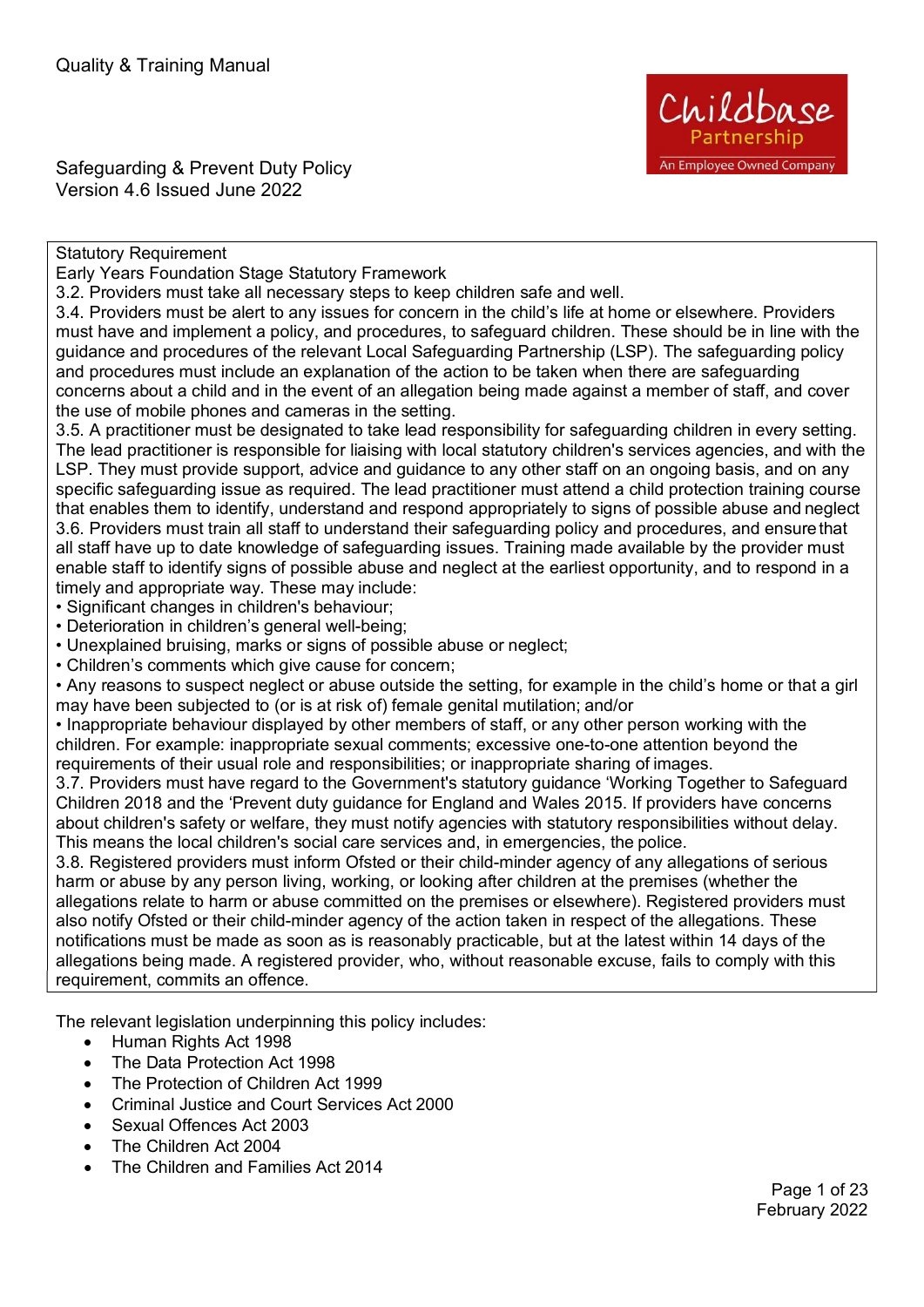# Statutory Requirement

Early Years Foundation Stage Statutory Framework

3.2. Providers must take all necessary steps to keep children safe and well.

3.4. Providers must be alert to any issues for concern in the child's life at home or elsewhere. Providers must have and implement a policy, and procedures, to safeguard children. These should be in line with the guidance and procedures of the relevant Local Safeguarding Partnership (LSP). The safeguarding policy and procedures must include an explanation of the action to be taken when there are safeguarding concerns about a child and in the event of an allegation being made against a member of staff, and cover the use of mobile phones and cameras in the setting.

3.5. A practitioner must be designated to take lead responsibility for safeguarding children in every setting. The lead practitioner is responsible for liaising with local statutory children's services agencies, and with the LSP. They must provide support, advice and guidance to any other staff on an ongoing basis, and on any specific safeguarding issue as required. The lead practitioner must attend a child protection training course that enables them to identify, understand and respond appropriately to signs of possible abuse and neglect 3.6. Providers must train all staff to understand their safeguarding policy and procedures, and ensurethat all staff have up to date knowledge of safeguarding issues. Training made available by the provider must enable staff to identify signs of possible abuse and neglect at the earliest opportunity, and to respond in a timely and appropriate way. These may include:

- Significant changes in children's behaviour;
- Deterioration in children's general well-being;
- Unexplained bruising, marks or signs of possible abuse or neglect;
- Children's comments which give cause for concern;

• Any reasons to suspect neglect or abuse outside the setting, for example in the child's home or that a girl may have been subjected to (or is at risk of) female genital mutilation; and/or

• Inappropriate behaviour displayed by other members of staff, or any other person working with the children. For example: inappropriate sexual comments; excessive one-to-one attention beyond the requirements of their usual role and responsibilities; or inappropriate sharing of images.

3.7. Providers must have regard to the Government's statutory guidance 'Working Together to Safeguard Children 2018 and the 'Prevent duty guidance for England and Wales 2015. If providers have concerns about children's safety or welfare, they must notify agencies with statutory responsibilities without delay. This means the local children's social care services and, in emergencies, the police.

3.8. Registered providers must inform Ofsted or their child-minder agency of any allegations of serious harm or abuse by any person living, working, or looking after children at the premises (whether the allegations relate to harm or abuse committed on the premises or elsewhere). Registered providers must also notify Ofsted or their child-minder agency of the action taken in respect of the allegations. These notifications must be made as soon as is reasonably practicable, but at the latest within 14 days of the allegations being made. A registered provider, who, without reasonable excuse, fails to comply with this requirement, commits an offence.

The relevant legislation underpinning this policy includes:

- Human Rights Act 1998
- The Data Protection Act 1998
- The Protection of Children Act 1999
- Criminal Justice and Court Services Act 2000
- Sexual Offences Act 2003
- The Children Act 2004
- The Children and Families Act 2014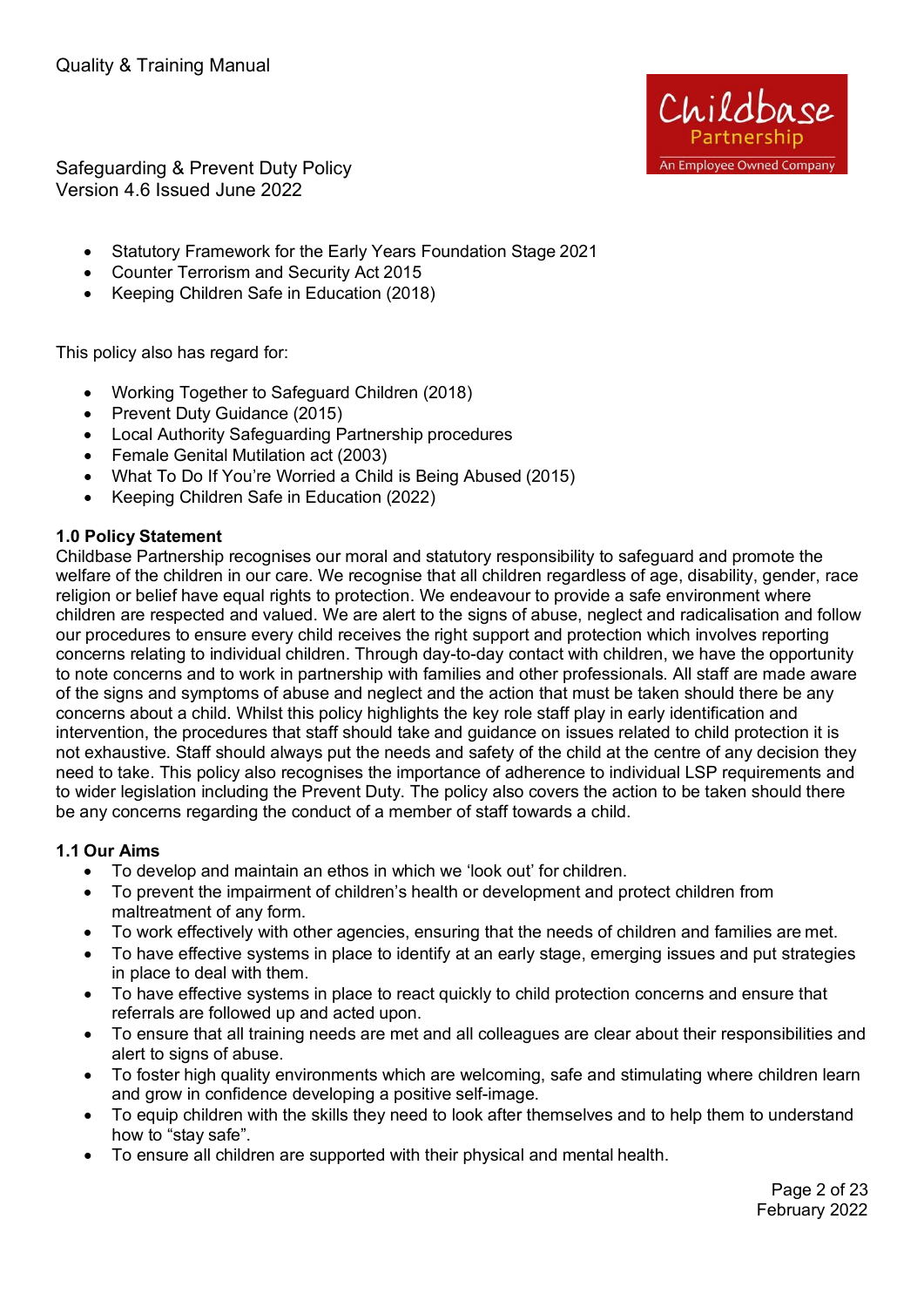

- Statutory Framework for the Early Years Foundation Stage 2021
- Counter Terrorism and Security Act 2015
- Keeping Children Safe in Education (2018)

This policy also has regard for:

- Working Together to Safeguard Children (2018)
- Prevent Duty Guidance (2015)
- Local Authority Safeguarding Partnership procedures
- Female Genital Mutilation act (2003)
- What To Do If You're Worried a Child is Being Abused (2015)
- Keeping Children Safe in Education (2022)

#### **1.0 Policy Statement**

Childbase Partnership recognises our moral and statutory responsibility to safeguard and promote the welfare of the children in our care. We recognise that all children regardless of age, disability, gender, race religion or belief have equal rights to protection. We endeavour to provide a safe environment where children are respected and valued. We are alert to the signs of abuse, neglect and radicalisation and follow our procedures to ensure every child receives the right support and protection which involves reporting concerns relating to individual children. Through day-to-day contact with children, we have the opportunity to note concerns and to work in partnership with families and other professionals. All staff are made aware of the signs and symptoms of abuse and neglect and the action that must be taken should there be any concerns about a child. Whilst this policy highlights the key role staff play in early identification and intervention, the procedures that staff should take and guidance on issues related to child protection it is not exhaustive. Staff should always put the needs and safety of the child at the centre of any decision they need to take. This policy also recognises the importance of adherence to individual LSP requirements and to wider legislation including the Prevent Duty. The policy also covers the action to be taken should there be any concerns regarding the conduct of a member of staff towards a child.

#### **1.1 Our Aims**

- To develop and maintain an ethos in which we 'look out' for children.
- To prevent the impairment of children's health or development and protect children from maltreatment of any form.
- To work effectively with other agencies, ensuring that the needs of children and families are met.
- To have effective systems in place to identify at an early stage, emerging issues and put strategies in place to deal with them.
- To have effective systems in place to react quickly to child protection concerns and ensure that referrals are followed up and acted upon.
- To ensure that all training needs are met and all colleagues are clear about their responsibilities and alert to signs of abuse.
- To foster high quality environments which are welcoming, safe and stimulating where children learn and grow in confidence developing a positive self-image.
- To equip children with the skills they need to look after themselves and to help them to understand how to "stay safe".
- To ensure all children are supported with their physical and mental health.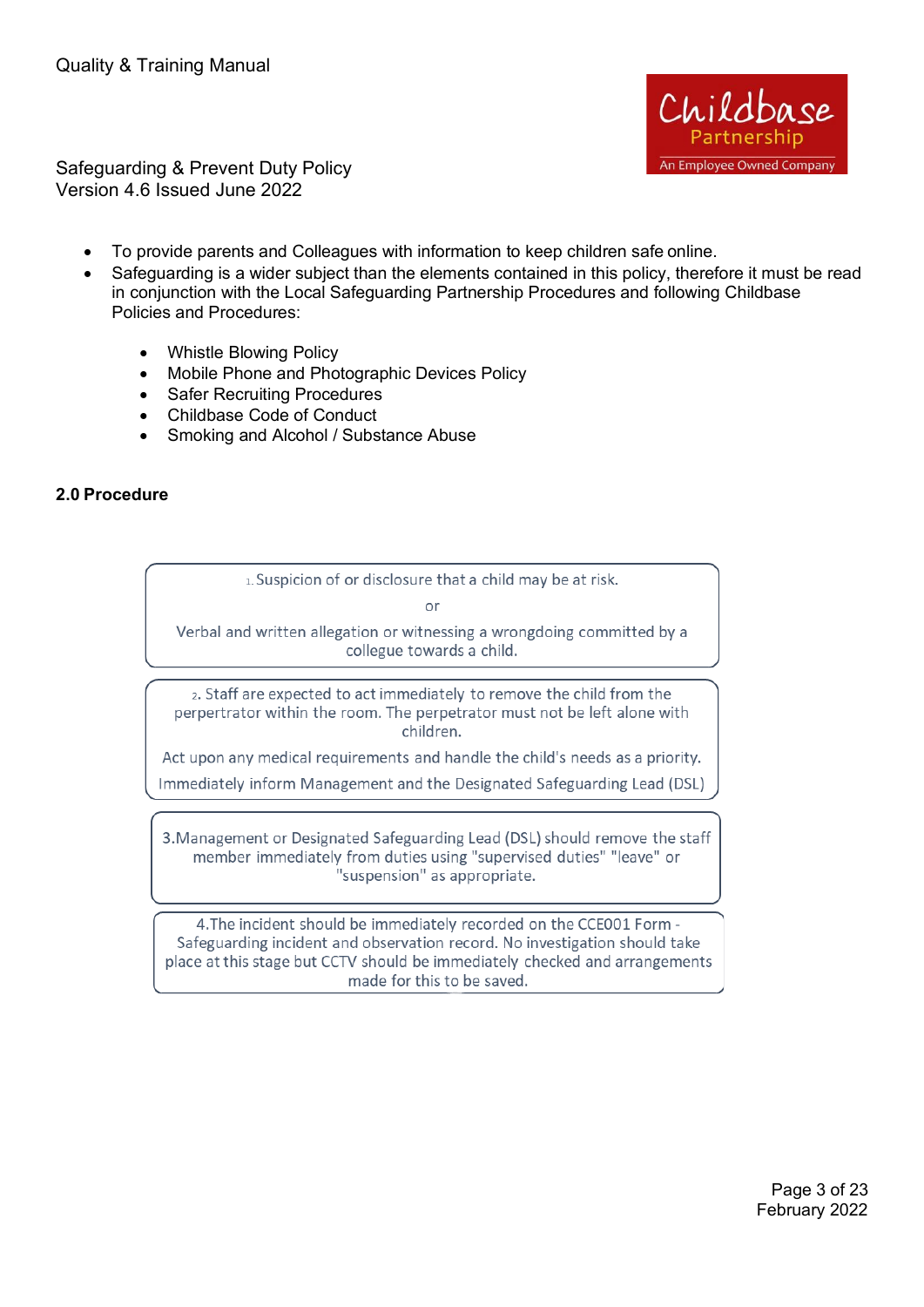

- To provide parents and Colleagues with information to keep children safe online.
- Safeguarding is a wider subject than the elements contained in this policy, therefore it must be read in conjunction with the Local Safeguarding Partnership Procedures and following Childbase Policies and Procedures:
	- Whistle Blowing Policy
	- Mobile Phone and Photographic Devices Policy
	- Safer Recruiting Procedures
	- Childbase Code of Conduct
	- Smoking and Alcohol / Substance Abuse

#### **2.0 Procedure**

1. Suspicion of or disclosure that a child may be at risk.

or

Verbal and written allegation or witnessing a wrongdoing committed by a collegue towards a child.

2. Staff are expected to act immediately to remove the child from the perpertrator within the room. The perpetrator must not be left alone with children.

Act upon any medical requirements and handle the child's needs as a priority.

Immediately inform Management and the Designated Safeguarding Lead (DSL)

3. Management or Designated Safeguarding Lead (DSL) should remove the staff member immediately from duties using "supervised duties" "leave" or "suspension" as appropriate.

4. The incident should be immediately recorded on the CCE001 Form -Safeguarding incident and observation record. No investigation should take place at this stage but CCTV should be immediately checked and arrangements made for this to be saved.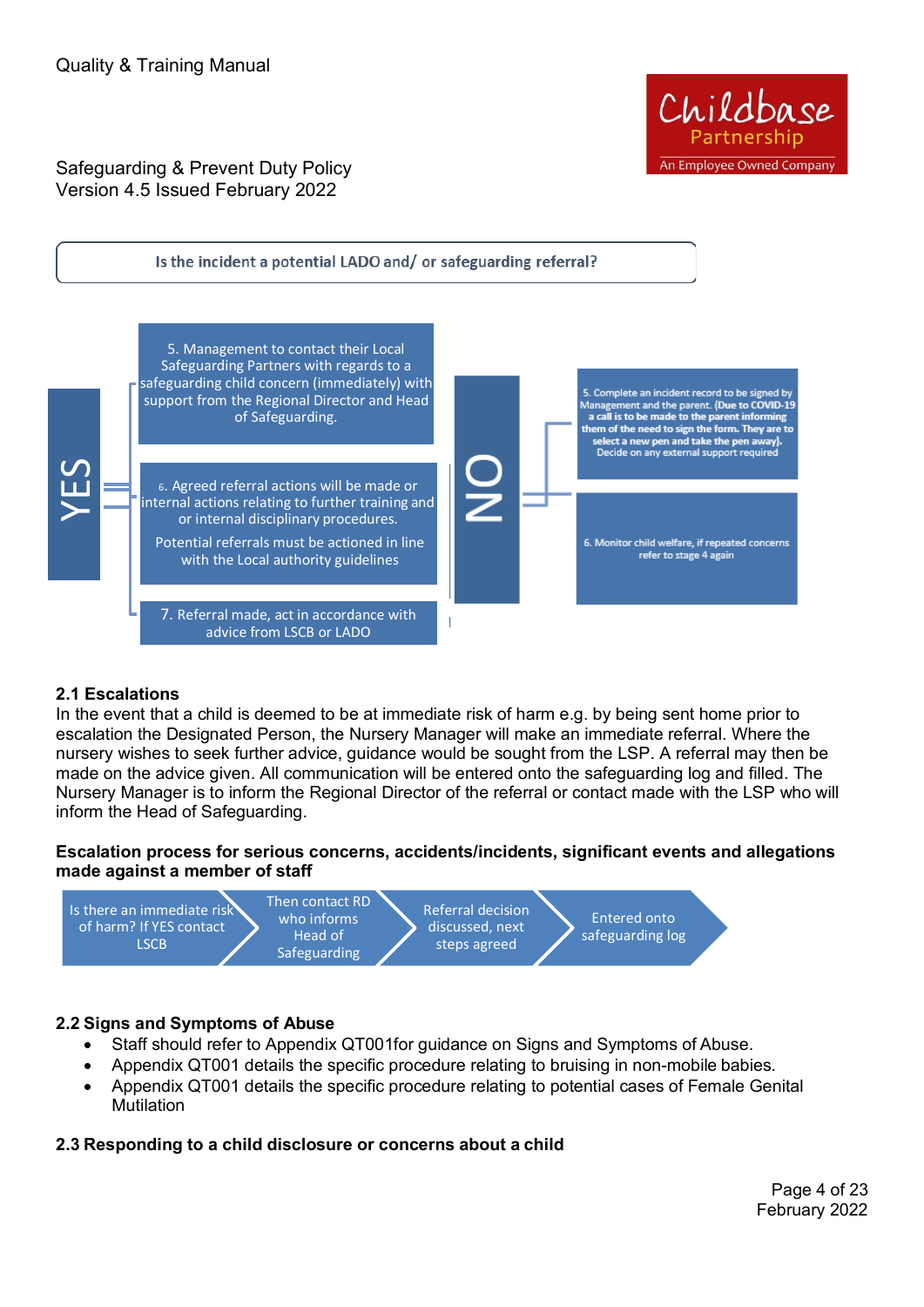

# **2.1 Escalations**

In the event that a child is deemed to be at immediate risk of harm e.g. by being sent home prior to escalation the Designated Person, the Nursery Manager will make an immediate referral. Where the nursery wishes to seek further advice, guidance would be sought from the LSP. A referral may then be made on the advice given. All communication will be entered onto the safeguarding log and filled. The Nursery Manager is to inform the Regional Director of the referral or contact made with the LSP who will inform the Head of Safeguarding.

#### **Escalation process for serious concerns, accidents/incidents, significant events and allegations made against a member of staff**



# **2.2 Signs and Symptoms of Abuse**

- Staff should refer to Appendix QT001for guidance on Signs and Symptoms of Abuse.
- Appendix QT001 details the specific procedure relating to bruising in non-mobile babies.
- Appendix QT001 details the specific procedure relating to potential cases of Female Genital Mutilation

#### **2.3 Responding to a child disclosure or concerns about a child**

Childbo

An Employee Owned Company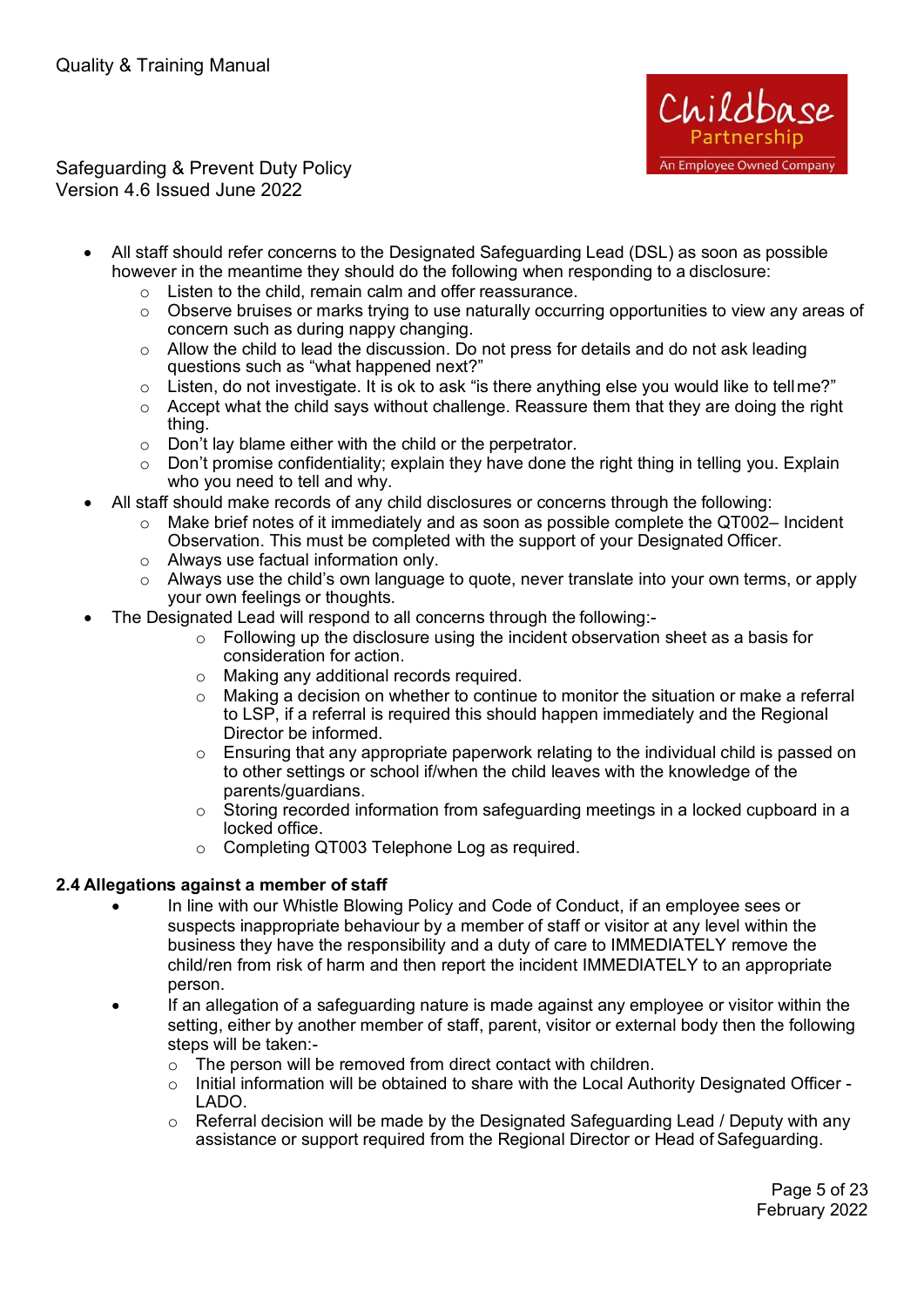

- All staff should refer concerns to the Designated Safeguarding Lead (DSL) as soon as possible however in the meantime they should do the following when responding to a disclosure:
	- $\circ$  Listen to the child, remain calm and offer reassurance.<br>  $\circ$  Observe bruises or marks trying to use naturally occurrent
	- Observe bruises or marks trying to use naturally occurring opportunities to view any areas of concern such as during nappy changing.
	- $\circ$  Allow the child to lead the discussion. Do not press for details and do not ask leading questions such as "what happened next?"
	- $\circ$  Listen, do not investigate. It is ok to ask "is there anything else you would like to tellme?"
	- $\circ$  Accept what the child says without challenge. Reassure them that they are doing the right thing.
	- $\circ$  Don't lay blame either with the child or the perpetrator.<br>  $\circ$  Don't promise confidentiality: explain they have done the
	- Don't promise confidentiality; explain they have done the right thing in telling you. Explain who you need to tell and why.
- All staff should make records of any child disclosures or concerns through the following:
	- $\circ$  Make brief notes of it immediately and as soon as possible complete the QT002– Incident Observation. This must be completed with the support of your Designated Officer.
	- $\circ$  Always use factual information only.<br> $\circ$  Always use the child's own language
	- Always use the child's own language to quote, never translate into your own terms, or apply your own feelings or thoughts.
- The Designated Lead will respond to all concerns through the following:
	- o Following up the disclosure using the incident observation sheet as a basis for consideration for action.
	- o Making any additional records required.
	- o Making a decision on whether to continue to monitor the situation or make a referral to LSP, if a referral is required this should happen immediately and the Regional Director be informed.
	- $\circ$  Ensuring that any appropriate paperwork relating to the individual child is passed on to other settings or school if/when the child leaves with the knowledge of the parents/guardians.
	- $\circ$  Storing recorded information from safeguarding meetings in a locked cupboard in a locked office.
	- o Completing QT003 Telephone Log as required.

# **2.4 Allegations against a member of staff**

- In line with our Whistle Blowing Policy and Code of Conduct, if an employee sees or suspects inappropriate behaviour by a member of staff or visitor at any level within the business they have the responsibility and a duty of care to IMMEDIATELY remove the child/ren from risk of harm and then report the incident IMMEDIATELY to an appropriate person.
- If an allegation of a safeguarding nature is made against any employee or visitor within the setting, either by another member of staff, parent, visitor or external body then the following steps will be taken:
	- o The person will be removed from direct contact with children.
	- $\circ$  Initial information will be obtained to share with the Local Authority Designated Officer -LADO.
	- $\circ$  Referral decision will be made by the Designated Safeguarding Lead / Deputy with any assistance or support required from the Regional Director or Head of Safeguarding.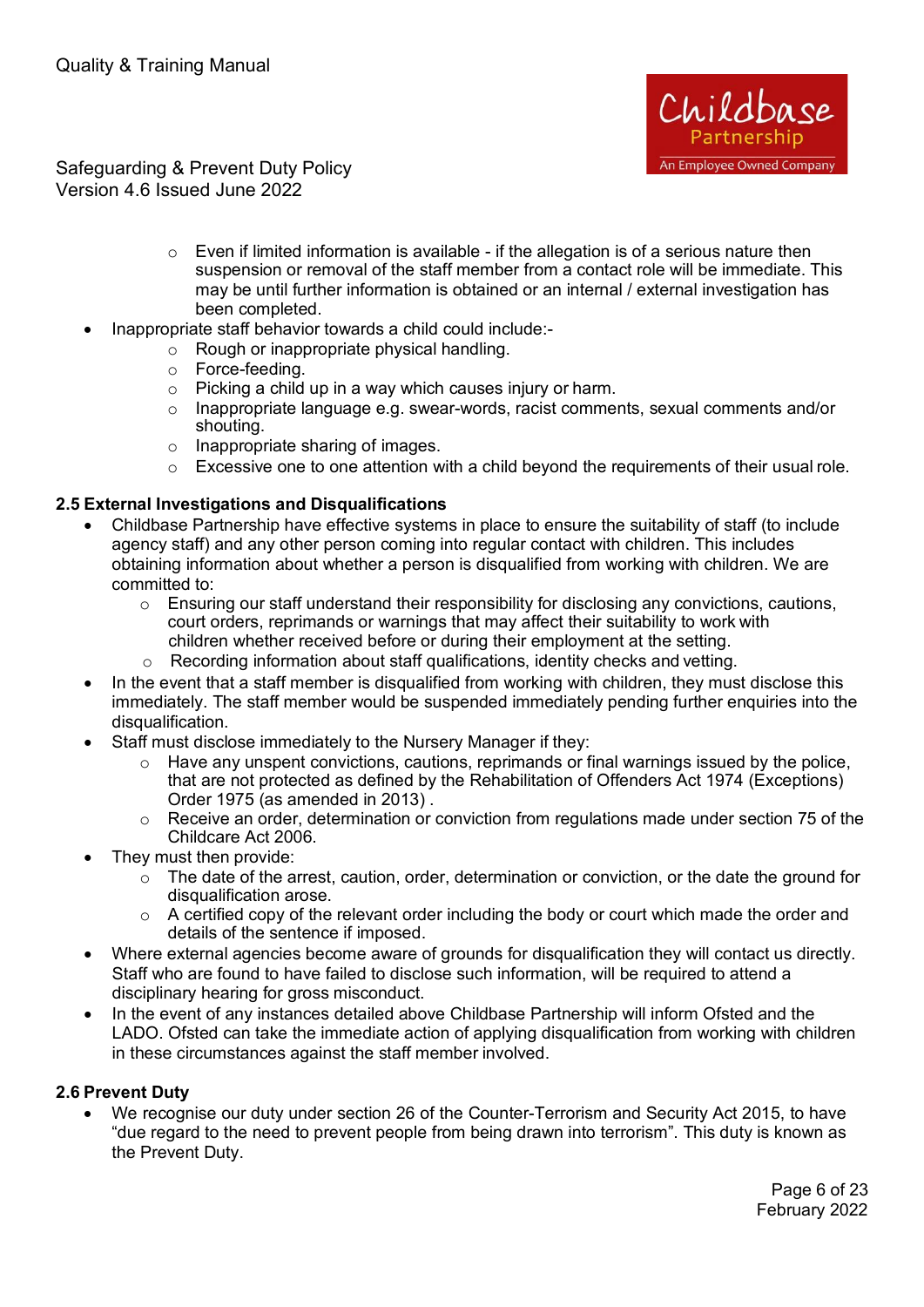

- $\circ$  Even if limited information is available if the allegation is of a serious nature then suspension or removal of the staff member from a contact role will be immediate. This may be until further information is obtained or an internal / external investigation has been completed.
- Inappropriate staff behavior towards a child could include:-
	- $\circ$  Rough or inappropriate physical handling.<br>  $\circ$  Force-feeding.
	- $\circ$  Force-feeding.<br> $\circ$  Picking a child
	- o Picking a child up in a way which causes injury or harm.<br>
	o Inappropriate language e.g. swear-words, racist commerch
	- Inappropriate language e.g. swear-words, racist comments, sexual comments and/or shouting.
	- o Inappropriate sharing of images.
	- o Excessive one to one attention with a child beyond the requirements of their usual role.

#### **2.5 External Investigations and Disqualifications**

- Childbase Partnership have effective systems in place to ensure the suitability of staff (to include agency staff) and any other person coming into regular contact with children. This includes obtaining information about whether a person is disqualified from working with children. We are committed to:
	- o Ensuring our staff understand their responsibility for disclosing any convictions, cautions, court orders, reprimands or warnings that may affect their suitability to work with children whether received before or during their employment at the setting.
	- o Recording information about staff qualifications, identity checks and vetting.
- In the event that a staff member is disqualified from working with children, they must disclose this immediately. The staff member would be suspended immediately pending further enquiries into the disqualification.
- Staff must disclose immediately to the Nursery Manager if they:
	- $\circ$  Have any unspent convictions, cautions, reprimands or final warnings issued by the police, that are not protected as defined by the Rehabilitation of Offenders Act 1974 (Exceptions) Order 1975 (as amended in 2013) .
	- $\circ$  Receive an order, determination or conviction from regulations made under section 75 of the Childcare Act 2006.
- They must then provide:
	- $\circ$  The date of the arrest, caution, order, determination or conviction, or the date the ground for disqualification arose.
	- $\circ$  A certified copy of the relevant order including the body or court which made the order and details of the sentence if imposed.
- Where external agencies become aware of grounds for disqualification they will contact us directly. Staff who are found to have failed to disclose such information, will be required to attend a disciplinary hearing for gross misconduct.
- In the event of any instances detailed above Childbase Partnership will inform Ofsted and the LADO. Ofsted can take the immediate action of applying disqualification from working with children in these circumstances against the staff member involved.

#### **2.6 Prevent Duty**

• We recognise our duty under section 26 of the Counter-Terrorism and Security Act 2015, to have "due regard to the need to prevent people from being drawn into terrorism". This duty is known as the Prevent Duty.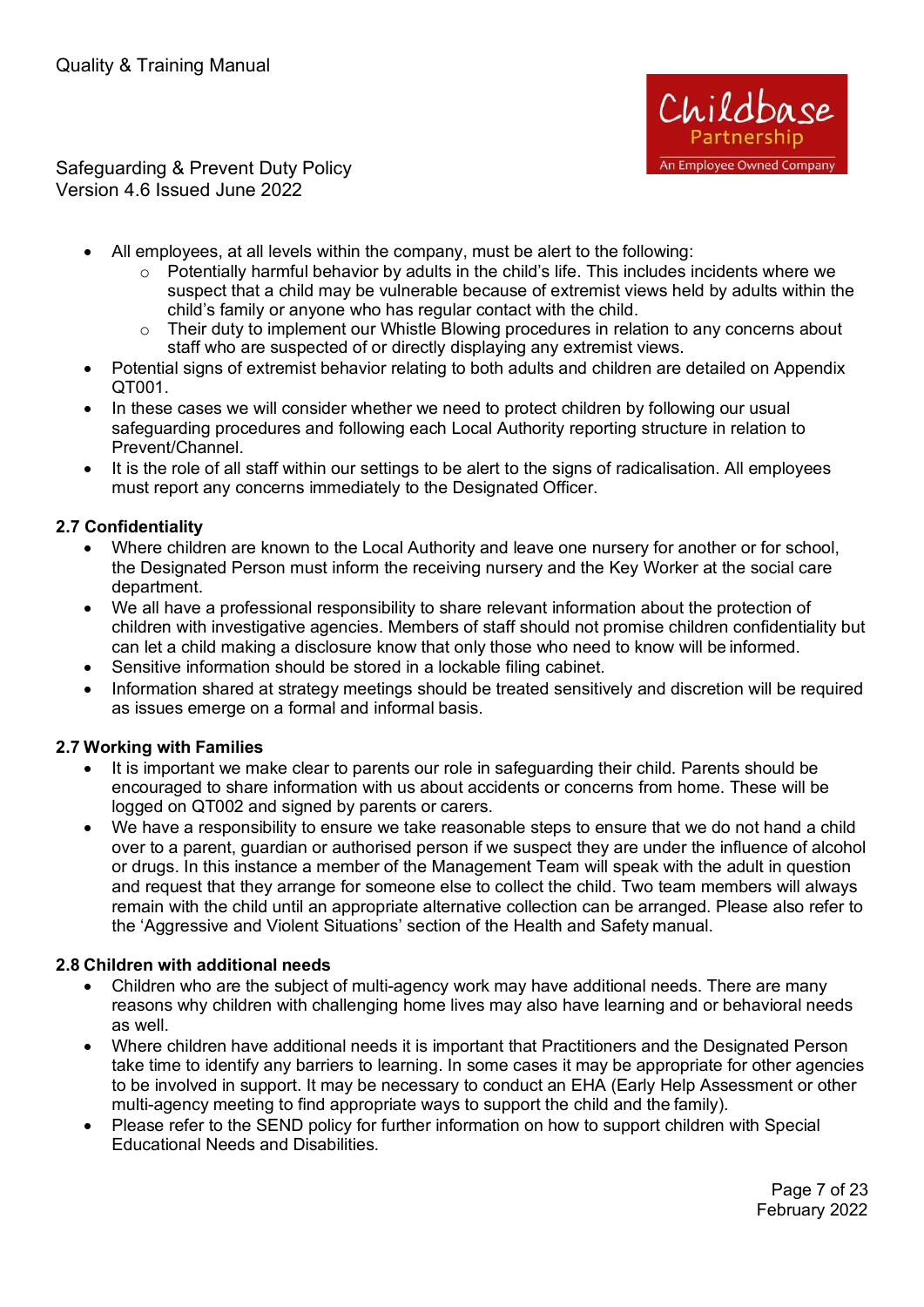

- All employees, at all levels within the company, must be alert to the following:
	- o Potentially harmful behavior by adults in the child's life. This includes incidents where we suspect that a child may be vulnerable because of extremist views held by adults within the child's family or anyone who has regular contact with the child.
	- o Their duty to implement our Whistle Blowing procedures in relation to any concerns about staff who are suspected of or directly displaying any extremist views.
- Potential signs of extremist behavior relating to both adults and children are detailed on Appendix QT001.
- In these cases we will consider whether we need to protect children by following our usual safeguarding procedures and following each Local Authority reporting structure in relation to Prevent/Channel.
- It is the role of all staff within our settings to be alert to the signs of radicalisation. All employees must report any concerns immediately to the Designated Officer.

# **2.7 Confidentiality**

- Where children are known to the Local Authority and leave one nursery for another or for school, the Designated Person must inform the receiving nursery and the Key Worker at the social care department.
- We all have a professional responsibility to share relevant information about the protection of children with investigative agencies. Members of staff should not promise children confidentiality but can let a child making a disclosure know that only those who need to know will be informed.
- Sensitive information should be stored in a lockable filing cabinet.
- Information shared at strategy meetings should be treated sensitively and discretion will be required as issues emerge on a formal and informal basis.

# **2.7 Working with Families**

- It is important we make clear to parents our role in safeguarding their child. Parents should be encouraged to share information with us about accidents or concerns from home. These will be logged on QT002 and signed by parents or carers.
- We have a responsibility to ensure we take reasonable steps to ensure that we do not hand a child over to a parent, guardian or authorised person if we suspect they are under the influence of alcohol or drugs. In this instance a member of the Management Team will speak with the adult in question and request that they arrange for someone else to collect the child. Two team members will always remain with the child until an appropriate alternative collection can be arranged. Please also refer to the 'Aggressive and Violent Situations' section of the Health and Safety manual.

#### **2.8 Children with additional needs**

- Children who are the subject of multi-agency work may have additional needs. There are many reasons why children with challenging home lives may also have learning and or behavioral needs as well.
- Where children have additional needs it is important that Practitioners and the Designated Person take time to identify any barriers to learning. In some cases it may be appropriate for other agencies to be involved in support. It may be necessary to conduct an EHA (Early Help Assessment or other multi-agency meeting to find appropriate ways to support the child and the family).
- Please refer to the SEND policy for further information on how to support children with Special Educational Needs and Disabilities.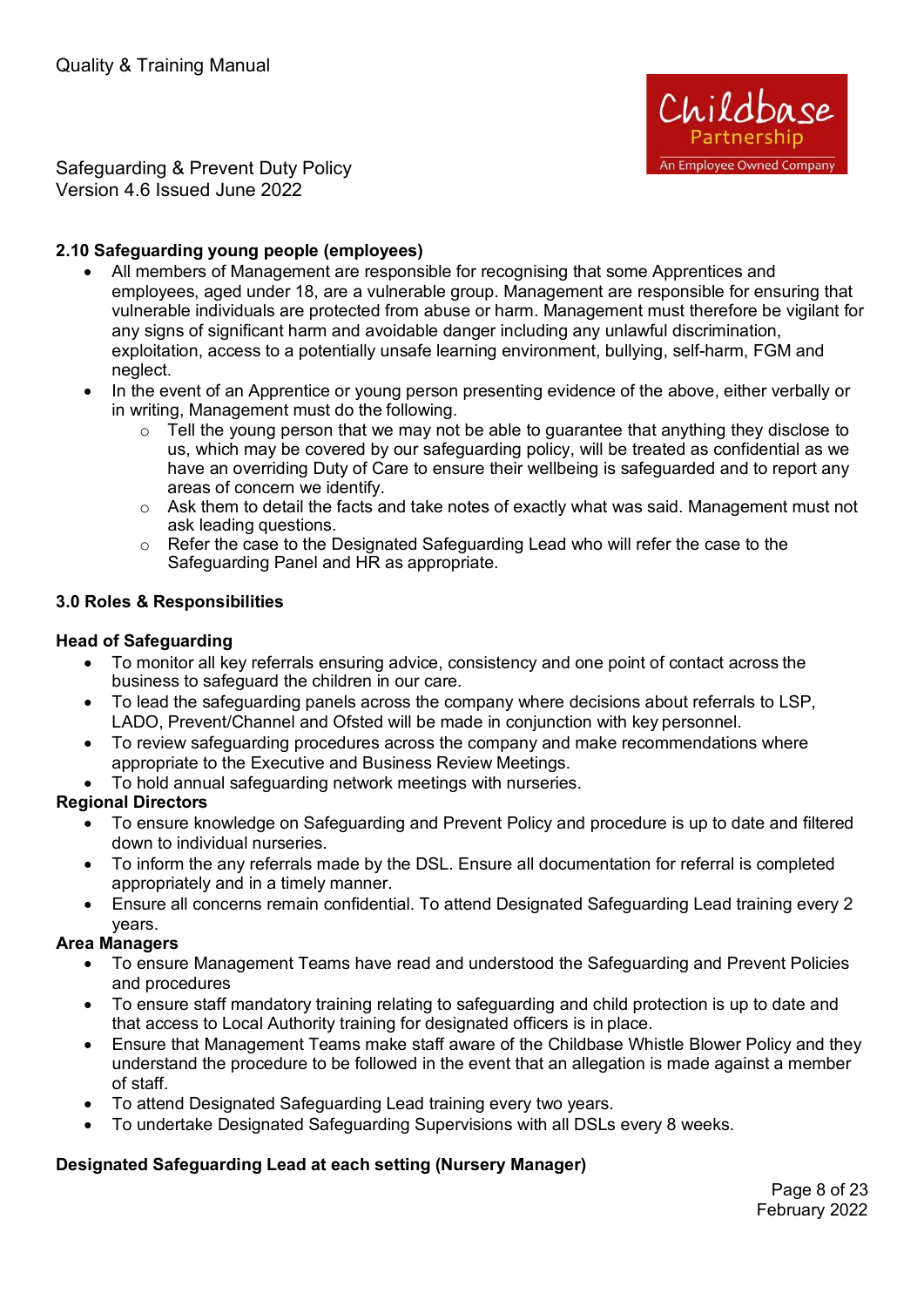

# **2.10 Safeguarding young people (employees)**

- All members of Management are responsible for recognising that some Apprentices and employees, aged under 18, are a vulnerable group. Management are responsible for ensuring that vulnerable individuals are protected from abuse or harm. Management must therefore be vigilant for any signs of significant harm and avoidable danger including any unlawful discrimination, exploitation, access to a potentially unsafe learning environment, bullying, self-harm, FGM and neglect.
- In the event of an Apprentice or young person presenting evidence of the above, either verbally or in writing, Management must do the following.
	- $\circ$  Tell the young person that we may not be able to guarantee that anything they disclose to us, which may be covered by our safeguarding policy, will be treated as confidential as we have an overriding Duty of Care to ensure their wellbeing is safeguarded and to report any areas of concern we identify.
	- $\circ$  Ask them to detail the facts and take notes of exactly what was said. Management must not ask leading questions.
	- $\circ$  Refer the case to the Designated Safeguarding Lead who will refer the case to the Safeguarding Panel and HR as appropriate.

#### **3.0 Roles & Responsibilities**

#### **Head of Safeguarding**

- To monitor all key referrals ensuring advice, consistency and one point of contact across the business to safeguard the children in our care.
- To lead the safeguarding panels across the company where decisions about referrals to LSP, LADO, Prevent/Channel and Ofsted will be made in conjunction with key personnel.
- To review safeguarding procedures across the company and make recommendations where appropriate to the Executive and Business Review Meetings.
- To hold annual safeguarding network meetings with nurseries.

# **Regional Directors**

- To ensure knowledge on Safeguarding and Prevent Policy and procedure is up to date and filtered down to individual nurseries.
- To inform the any referrals made by the DSL. Ensure all documentation for referral is completed appropriately and in a timely manner.
- Ensure all concerns remain confidential. To attend Designated Safeguarding Lead training every 2 years.

# **Area Managers**

- To ensure Management Teams have read and understood the Safeguarding and Prevent Policies and procedures
- To ensure staff mandatory training relating to safeguarding and child protection is up to date and that access to Local Authority training for designated officers is in place.
- Ensure that Management Teams make staff aware of the Childbase Whistle Blower Policy and they understand the procedure to be followed in the event that an allegation is made against a member of staff.
- To attend Designated Safeguarding Lead training every two years.
- To undertake Designated Safeguarding Supervisions with all DSLs every 8 weeks.

# **Designated Safeguarding Lead at each setting (Nursery Manager)**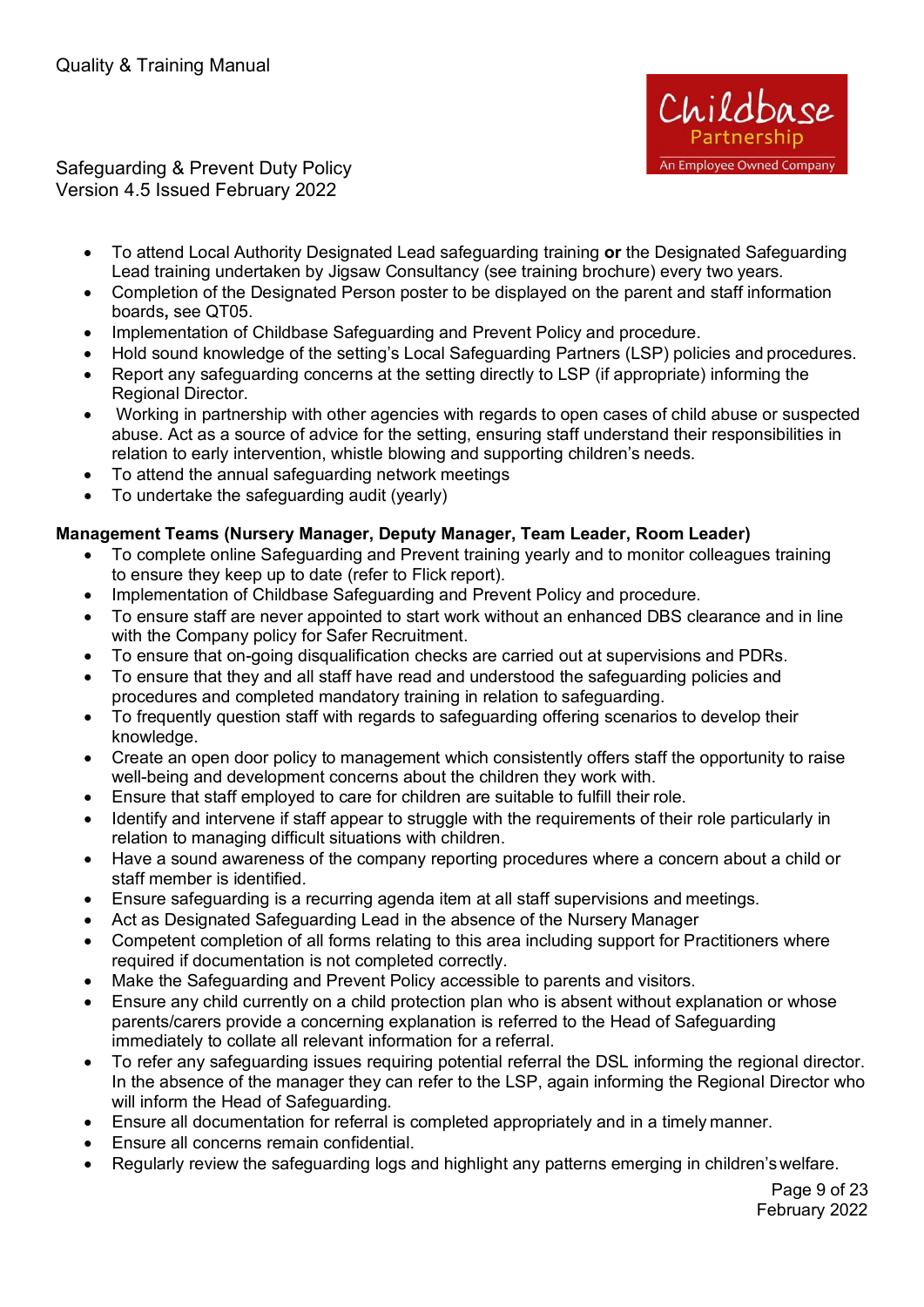

- To attend Local Authority Designated Lead safeguarding training **or** the Designated Safeguarding Lead training undertaken by Jigsaw Consultancy (see training brochure) every two years.
- Completion of the Designated Person poster to be displayed on the parent and staff information boards**,** see QT05.
- Implementation of Childbase Safeguarding and Prevent Policy and procedure.
- Hold sound knowledge of the setting's Local Safeguarding Partners (LSP) policies and procedures.
- Report any safeguarding concerns at the setting directly to LSP (if appropriate) informing the Regional Director.
- Working in partnership with other agencies with regards to open cases of child abuse or suspected abuse. Act as a source of advice for the setting, ensuring staff understand their responsibilities in relation to early intervention, whistle blowing and supporting children's needs.
- To attend the annual safeguarding network meetings
- To undertake the safeguarding audit (yearly)

# **Management Teams (Nursery Manager, Deputy Manager, Team Leader, Room Leader)**

- To complete online Safeguarding and Prevent training yearly and to monitor colleagues training to ensure they keep up to date (refer to Flick report).
- Implementation of Childbase Safeguarding and Prevent Policy and procedure.
- To ensure staff are never appointed to start work without an enhanced DBS clearance and in line with the Company policy for Safer Recruitment.
- To ensure that on-going disqualification checks are carried out at supervisions and PDRs.
- To ensure that they and all staff have read and understood the safeguarding policies and procedures and completed mandatory training in relation to safeguarding.
- To frequently question staff with regards to safeguarding offering scenarios to develop their knowledge.
- Create an open door policy to management which consistently offers staff the opportunity to raise well-being and development concerns about the children they work with.
- Ensure that staff employed to care for children are suitable to fulfill their role.
- Identify and intervene if staff appear to struggle with the requirements of their role particularly in relation to managing difficult situations with children.
- Have a sound awareness of the company reporting procedures where a concern about a child or staff member is identified.
- Ensure safeguarding is a recurring agenda item at all staff supervisions and meetings.
- Act as Designated Safeguarding Lead in the absence of the Nursery Manager
- Competent completion of all forms relating to this area including support for Practitioners where required if documentation is not completed correctly.
- Make the Safeguarding and Prevent Policy accessible to parents and visitors.
- Ensure any child currently on a child protection plan who is absent without explanation or whose parents/carers provide a concerning explanation is referred to the Head of Safeguarding immediately to collate all relevant information for a referral.
- To refer any safeguarding issues requiring potential referral the DSL informing the regional director. In the absence of the manager they can refer to the LSP, again informing the Regional Director who will inform the Head of Safeguarding.
- Ensure all documentation for referral is completed appropriately and in a timely manner.
- Ensure all concerns remain confidential.
- Regularly review the safeguarding logs and highlight any patterns emerging in children'swelfare.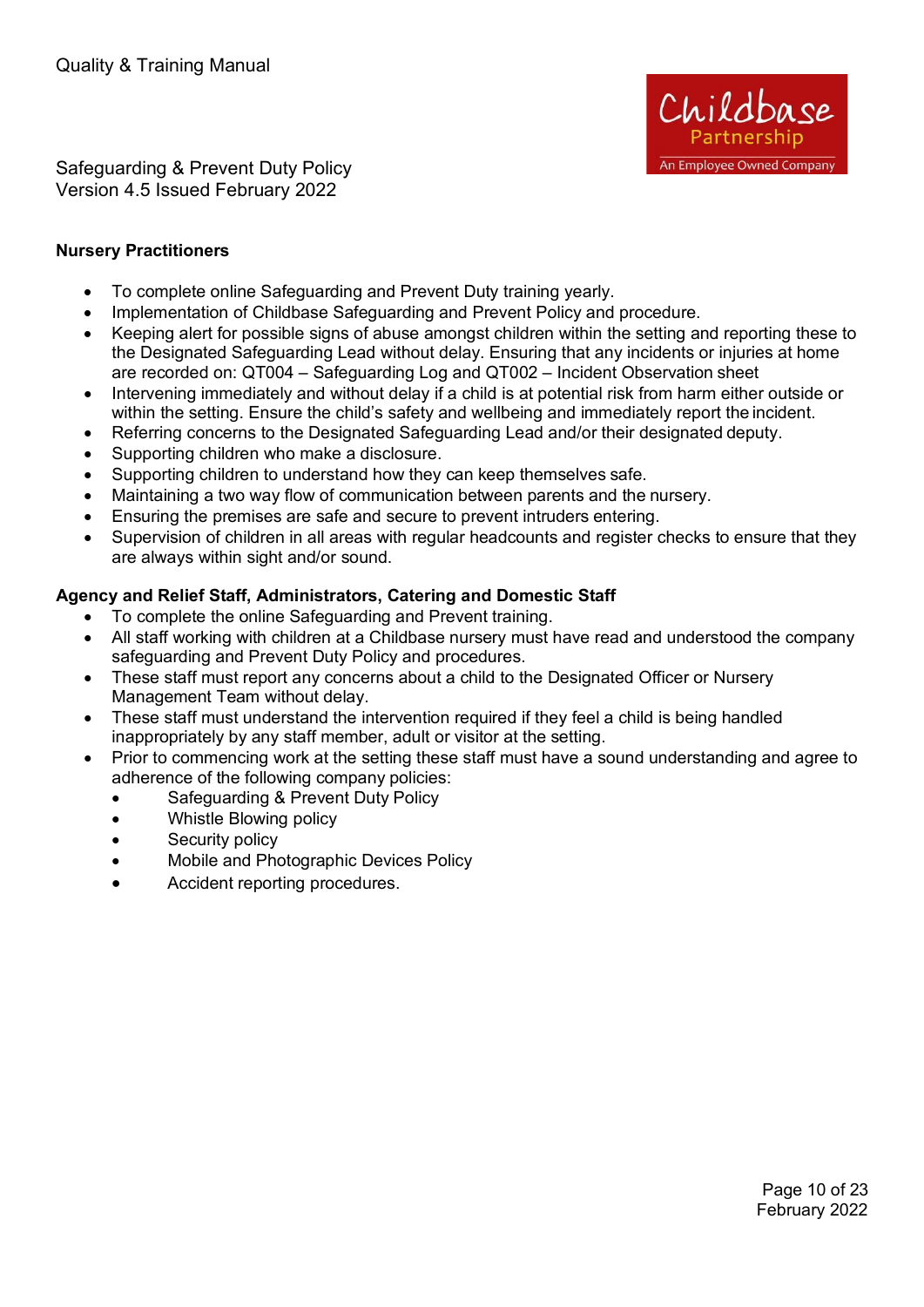

#### **Nursery Practitioners**

- To complete online Safeguarding and Prevent Duty training yearly.
- Implementation of Childbase Safeguarding and Prevent Policy and procedure.
- Keeping alert for possible signs of abuse amongst children within the setting and reporting these to the Designated Safeguarding Lead without delay. Ensuring that any incidents or injuries at home are recorded on: QT004 – Safeguarding Log and QT002 – Incident Observation sheet
- Intervening immediately and without delay if a child is at potential risk from harm either outside or within the setting. Ensure the child's safety and wellbeing and immediately report the incident.
- Referring concerns to the Designated Safeguarding Lead and/or their designated deputy.
- Supporting children who make a disclosure.
- Supporting children to understand how they can keep themselves safe.
- Maintaining a two way flow of communication between parents and the nursery.
- Ensuring the premises are safe and secure to prevent intruders entering.
- Supervision of children in all areas with regular headcounts and register checks to ensure that they are always within sight and/or sound.

#### **Agency and Relief Staff, Administrators, Catering and Domestic Staff**

- To complete the online Safeguarding and Prevent training.
- All staff working with children at a Childbase nursery must have read and understood the company safeguarding and Prevent Duty Policy and procedures.
- These staff must report any concerns about a child to the Designated Officer or Nursery Management Team without delay.
- These staff must understand the intervention required if they feel a child is being handled inappropriately by any staff member, adult or visitor at the setting.
- Prior to commencing work at the setting these staff must have a sound understanding and agree to adherence of the following company policies:
	- Safeguarding & Prevent Duty Policy
	- Whistle Blowing policy
	- Security policy
	- Mobile and Photographic Devices Policy
	- Accident reporting procedures.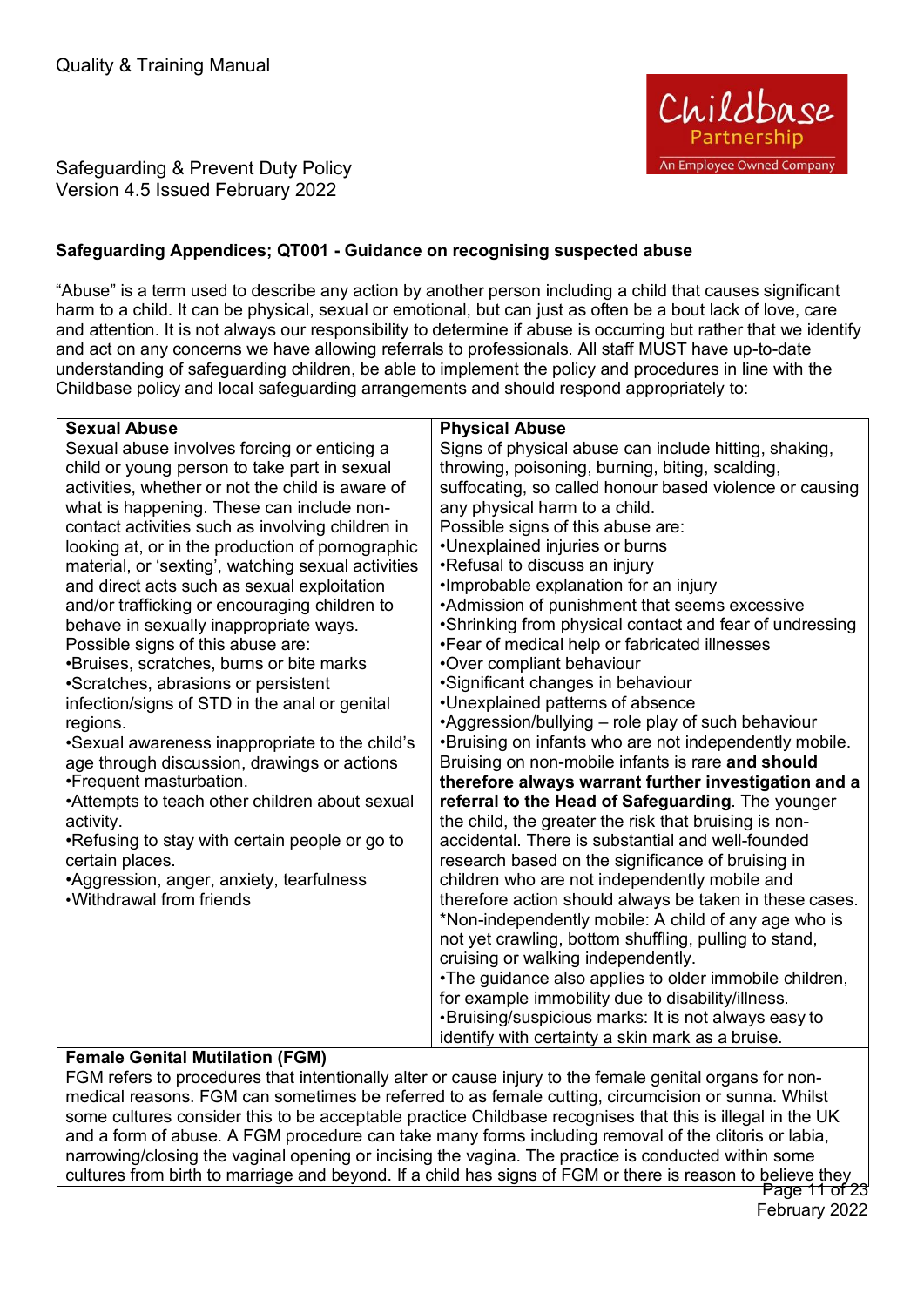

# **Safeguarding Appendices; QT001 - Guidance on recognising suspected abuse**

"Abuse" is a term used to describe any action by another person including a child that causes significant harm to a child. It can be physical, sexual or emotional, but can just as often be a bout lack of love, care and attention. It is not always our responsibility to determine if abuse is occurring but rather that we identify and act on any concerns we have allowing referrals to professionals. All staff MUST have up-to-date understanding of safeguarding children, be able to implement the policy and procedures in line with the Childbase policy and local safeguarding arrangements and should respond appropriately to:

| <b>Sexual Abuse</b>                                | <b>Physical Abuse</b>                                   |
|----------------------------------------------------|---------------------------------------------------------|
| Sexual abuse involves forcing or enticing a        | Signs of physical abuse can include hitting, shaking,   |
| child or young person to take part in sexual       | throwing, poisoning, burning, biting, scalding,         |
| activities, whether or not the child is aware of   | suffocating, so called honour based violence or causing |
| what is happening. These can include non-          | any physical harm to a child.                           |
| contact activities such as involving children in   | Possible signs of this abuse are:                       |
| looking at, or in the production of pornographic   | •Unexplained injuries or burns                          |
| material, or 'sexting', watching sexual activities | •Refusal to discuss an injury                           |
| and direct acts such as sexual exploitation        | . Improbable explanation for an injury                  |
| and/or trafficking or encouraging children to      | •Admission of punishment that seems excessive           |
| behave in sexually inappropriate ways.             | •Shrinking from physical contact and fear of undressing |
| Possible signs of this abuse are:                  | •Fear of medical help or fabricated illnesses           |
| •Bruises, scratches, burns or bite marks           | •Over compliant behaviour                               |
| •Scratches, abrasions or persistent                | •Significant changes in behaviour                       |
| infection/signs of STD in the anal or genital      | •Unexplained patterns of absence                        |
| regions.                                           | •Aggression/bullying – role play of such behaviour      |
| •Sexual awareness inappropriate to the child's     | •Bruising on infants who are not independently mobile.  |
| age through discussion, drawings or actions        | Bruising on non-mobile infants is rare and should       |
| •Frequent masturbation.                            | therefore always warrant further investigation and a    |
| •Attempts to teach other children about sexual     | referral to the Head of Safeguarding. The younger       |
| activity.                                          | the child, the greater the risk that bruising is non-   |
| •Refusing to stay with certain people or go to     | accidental. There is substantial and well-founded       |
| certain places.                                    | research based on the significance of bruising in       |
| •Aggression, anger, anxiety, tearfulness           | children who are not independently mobile and           |
| .Withdrawal from friends                           | therefore action should always be taken in these cases. |
|                                                    | *Non-independently mobile: A child of any age who is    |
|                                                    | not yet crawling, bottom shuffling, pulling to stand,   |
|                                                    | cruising or walking independently.                      |
|                                                    | •The guidance also applies to older immobile children,  |
|                                                    | for example immobility due to disability/illness.       |
|                                                    | •Bruising/suspicious marks: It is not always easy to    |
|                                                    | identify with certainty a skin mark as a bruise.        |

# **Female Genital Mutilation (FGM)**

FGM refers to procedures that intentionally alter or cause injury to the female genital organs for nonmedical reasons. FGM can sometimes be referred to as female cutting, circumcision or sunna. Whilst some cultures consider this to be acceptable practice Childbase recognises that this is illegal in the UK and a form of abuse. A FGM procedure can take many forms including removal of the clitoris or labia, narrowing/closing the vaginal opening or incising the vagina. The practice is conducted within some cultures from birth to marriage and beyond. If a child has signs of FGM or there is reason to believe they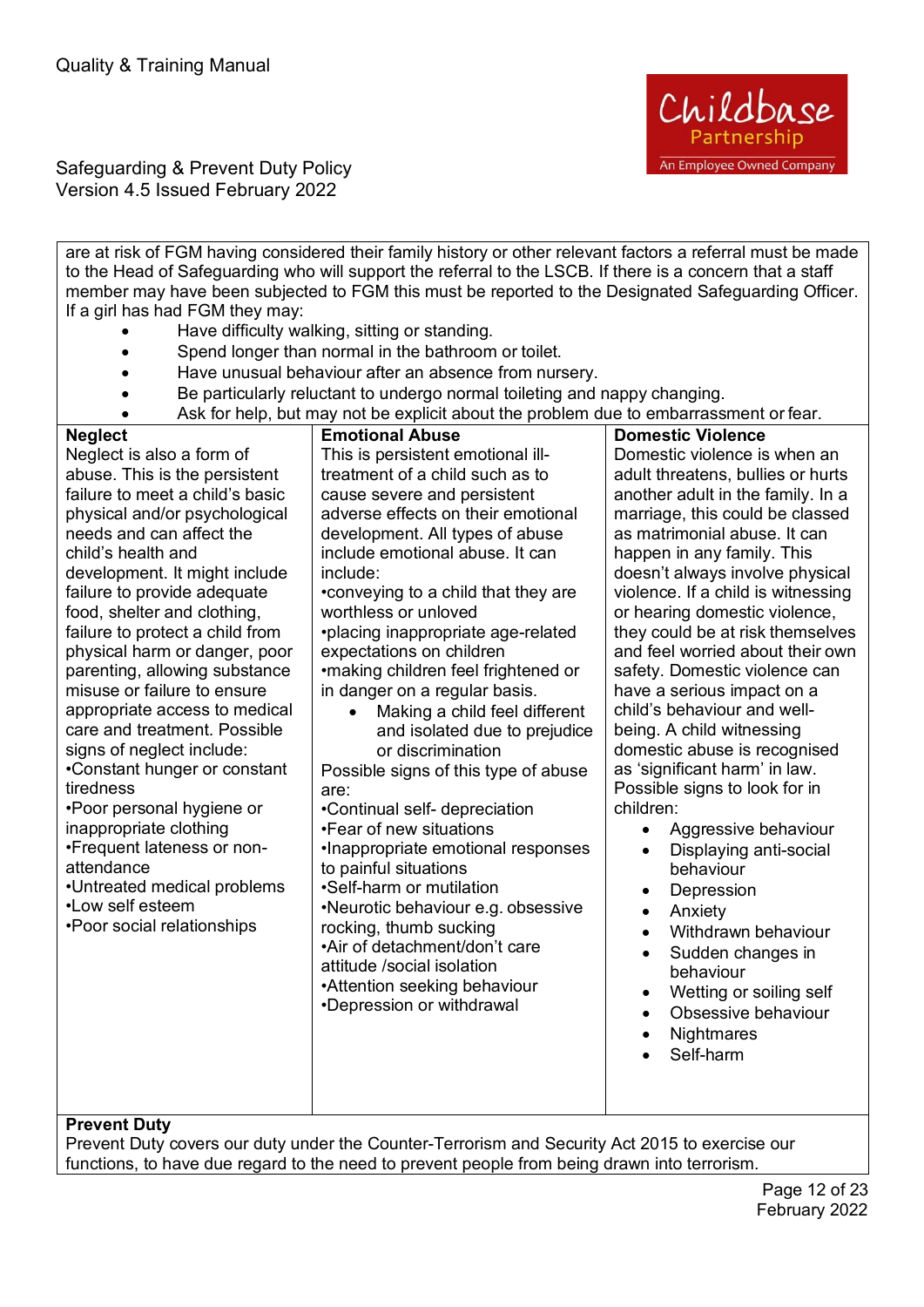

are at risk of FGM having considered their family history or other relevant factors a referral must be made to the Head of Safeguarding who will support the referral to the LSCB. If there is a concern that a staff member may have been subjected to FGM this must be reported to the Designated Safeguarding Officer. If a girl has had FGM they may:

- Have difficulty walking, sitting or standing.
- Spend longer than normal in the bathroom or toilet.
- Have unusual behaviour after an absence from nursery.
- Be particularly reluctant to undergo normal toileting and nappy changing.
- Ask for help, but may not be explicit about the problem due to embarrassment or fear.

| <b>Neglect</b>                  | <b>Emotional Abuse</b>               | <b>Domestic Violence</b>             |
|---------------------------------|--------------------------------------|--------------------------------------|
| Neglect is also a form of       | This is persistent emotional ill-    | Domestic violence is when an         |
| abuse. This is the persistent   | treatment of a child such as to      | adult threatens, bullies or hurts    |
| failure to meet a child's basic | cause severe and persistent          | another adult in the family. In a    |
| physical and/or psychological   | adverse effects on their emotional   | marriage, this could be classed      |
| needs and can affect the        | development. All types of abuse      | as matrimonial abuse. It can         |
| child's health and              | include emotional abuse. It can      | happen in any family. This           |
| development. It might include   | include:                             | doesn't always involve physical      |
| failure to provide adequate     | •conveying to a child that they are  | violence. If a child is witnessing   |
| food, shelter and clothing,     | worthless or unloved                 | or hearing domestic violence,        |
| failure to protect a child from | •placing inappropriate age-related   | they could be at risk themselves     |
| physical harm or danger, poor   | expectations on children             | and feel worried about their own     |
| parenting, allowing substance   | •making children feel frightened or  | safety. Domestic violence can        |
| misuse or failure to ensure     | in danger on a regular basis.        | have a serious impact on a           |
| appropriate access to medical   | Making a child feel different        | child's behaviour and well-          |
| care and treatment. Possible    | and isolated due to prejudice        | being. A child witnessing            |
| signs of neglect include:       | or discrimination                    | domestic abuse is recognised         |
| •Constant hunger or constant    | Possible signs of this type of abuse | as 'significant harm' in law.        |
| tiredness                       | are:                                 | Possible signs to look for in        |
| •Poor personal hygiene or       | •Continual self- depreciation        | children:                            |
| inappropriate clothing          | •Fear of new situations              | Aggressive behaviour<br>$\bullet$    |
| •Frequent lateness or non-      | •Inappropriate emotional responses   | Displaying anti-social<br>$\bullet$  |
| attendance                      | to painful situations                | behaviour                            |
| •Untreated medical problems     | •Self-harm or mutilation             | Depression<br>$\bullet$              |
| •Low self esteem                | •Neurotic behaviour e.g. obsessive   | Anxiety<br>$\bullet$                 |
| •Poor social relationships      | rocking, thumb sucking               | Withdrawn behaviour<br>$\bullet$     |
|                                 | •Air of detachment/don't care        | Sudden changes in<br>$\bullet$       |
|                                 | attitude /social isolation           | behaviour                            |
|                                 | •Attention seeking behaviour         | Wetting or soiling self<br>$\bullet$ |
|                                 | •Depression or withdrawal            | Obsessive behaviour<br>$\bullet$     |
|                                 |                                      | Nightmares<br>$\bullet$              |
|                                 |                                      | Self-harm<br>$\bullet$               |
|                                 |                                      |                                      |
|                                 |                                      |                                      |
|                                 |                                      |                                      |

#### **Prevent Duty**

Prevent Duty covers our duty under the Counter-Terrorism and Security Act 2015 to exercise our functions, to have due regard to the need to prevent people from being drawn into terrorism.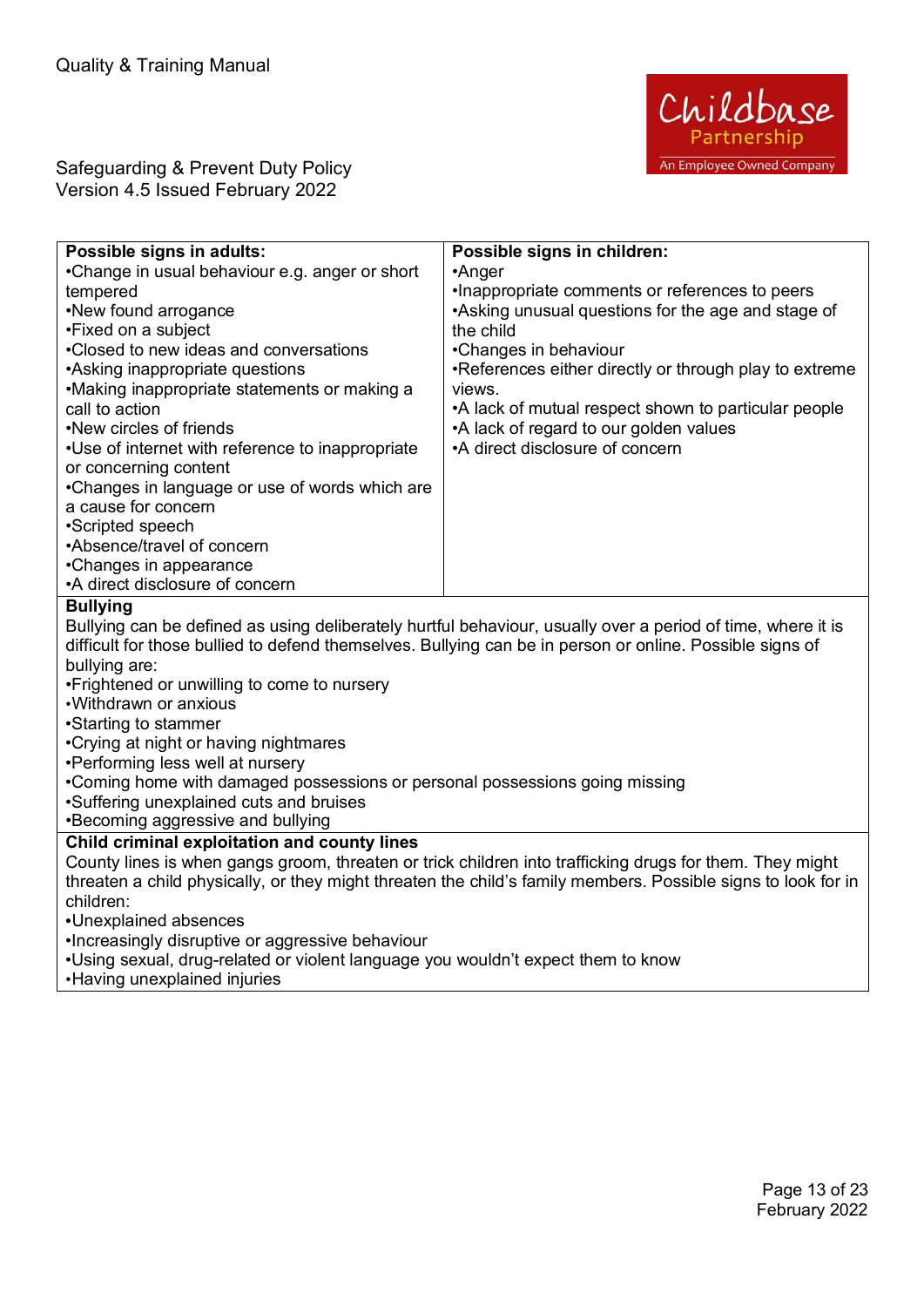

| Possible signs in adults:                                                                                     | Possible signs in children:                                                                                 |  |  |  |  |
|---------------------------------------------------------------------------------------------------------------|-------------------------------------------------------------------------------------------------------------|--|--|--|--|
| •Change in usual behaviour e.g. anger or short                                                                | •Anger                                                                                                      |  |  |  |  |
| tempered                                                                                                      | . Inappropriate comments or references to peers                                                             |  |  |  |  |
| •New found arrogance                                                                                          | •Asking unusual questions for the age and stage of                                                          |  |  |  |  |
| •Fixed on a subject                                                                                           | the child                                                                                                   |  |  |  |  |
| •Closed to new ideas and conversations                                                                        | •Changes in behaviour                                                                                       |  |  |  |  |
| •Asking inappropriate questions                                                                               | •References either directly or through play to extreme                                                      |  |  |  |  |
| •Making inappropriate statements or making a                                                                  | views.                                                                                                      |  |  |  |  |
| call to action                                                                                                | •A lack of mutual respect shown to particular people                                                        |  |  |  |  |
| •New circles of friends                                                                                       | •A lack of regard to our golden values                                                                      |  |  |  |  |
| •Use of internet with reference to inappropriate                                                              | •A direct disclosure of concern                                                                             |  |  |  |  |
| or concerning content                                                                                         |                                                                                                             |  |  |  |  |
| •Changes in language or use of words which are                                                                |                                                                                                             |  |  |  |  |
| a cause for concern                                                                                           |                                                                                                             |  |  |  |  |
| •Scripted speech                                                                                              |                                                                                                             |  |  |  |  |
| •Absence/travel of concern                                                                                    |                                                                                                             |  |  |  |  |
| •Changes in appearance                                                                                        |                                                                                                             |  |  |  |  |
| •A direct disclosure of concern                                                                               |                                                                                                             |  |  |  |  |
| <b>Bullying</b>                                                                                               |                                                                                                             |  |  |  |  |
|                                                                                                               | Bullying can be defined as using deliberately hurtful behaviour, usually over a period of time, where it is |  |  |  |  |
|                                                                                                               | difficult for those bullied to defend themselves. Bullying can be in person or online. Possible signs of    |  |  |  |  |
| bullying are:                                                                                                 |                                                                                                             |  |  |  |  |
| •Frightened or unwilling to come to nursery                                                                   |                                                                                                             |  |  |  |  |
| •Withdrawn or anxious                                                                                         |                                                                                                             |  |  |  |  |
| •Starting to stammer                                                                                          |                                                                                                             |  |  |  |  |
| • Crying at night or having nightmares                                                                        |                                                                                                             |  |  |  |  |
| •Performing less well at nursery                                                                              |                                                                                                             |  |  |  |  |
| •Coming home with damaged possessions or personal possessions going missing                                   |                                                                                                             |  |  |  |  |
| •Suffering unexplained cuts and bruises                                                                       |                                                                                                             |  |  |  |  |
| •Becoming aggressive and bullying                                                                             |                                                                                                             |  |  |  |  |
| Child criminal exploitation and county lines                                                                  |                                                                                                             |  |  |  |  |
| County lines is when gangs groom, threaten or trick children into trafficking drugs for them. They might      |                                                                                                             |  |  |  |  |
| threaten a child physically, or they might threaten the child's family members. Possible signs to look for in |                                                                                                             |  |  |  |  |
| children:                                                                                                     |                                                                                                             |  |  |  |  |

**•**Unexplained absences

•Increasingly disruptive or aggressive behaviour

•Using sexual, drug-related or violent language you wouldn't expect them to know

•Having unexplained injuries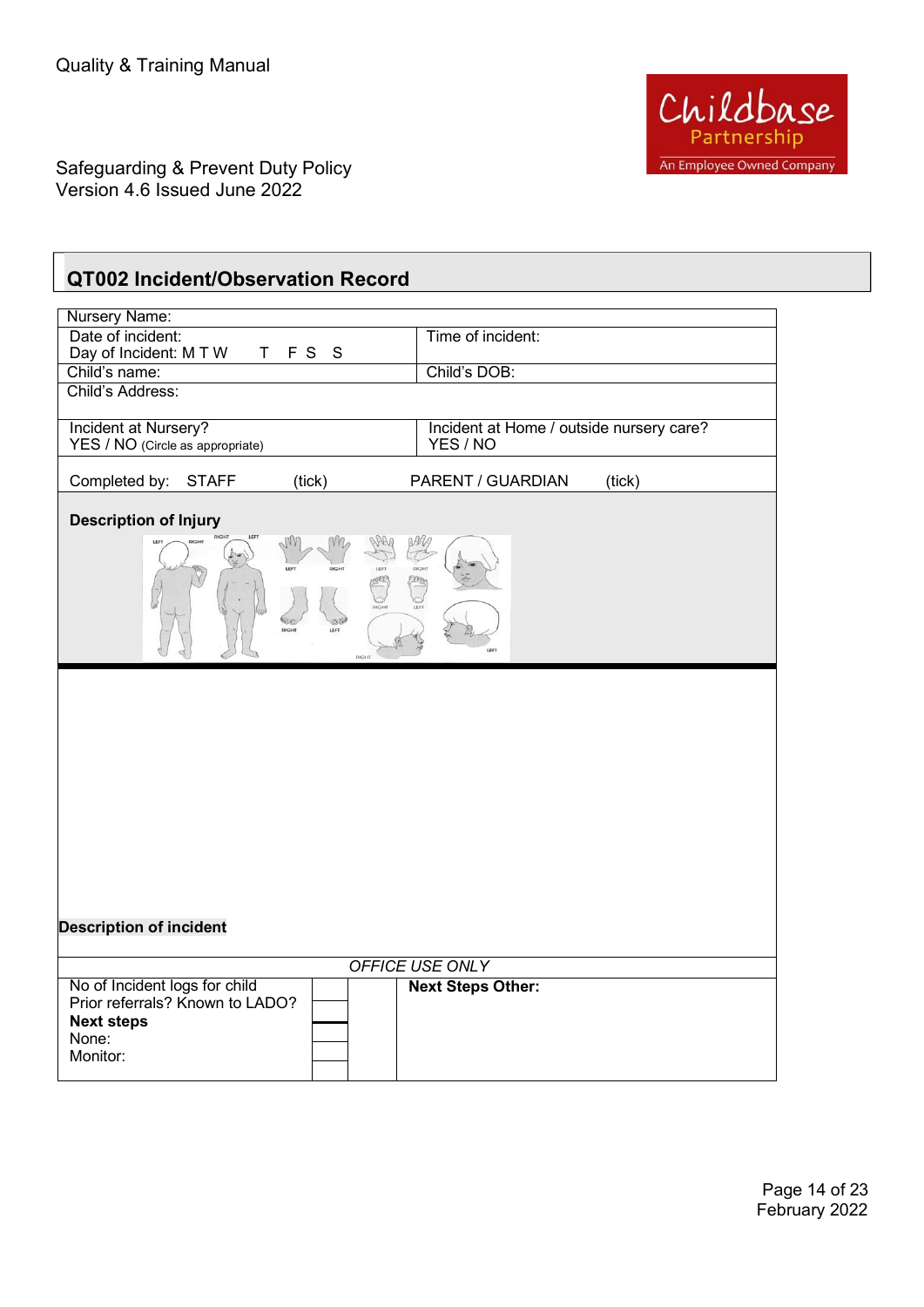

# **QT002 Incident/Observation Record**

| <b>Nursery Name:</b>                    |                                                      |
|-----------------------------------------|------------------------------------------------------|
| Date of incident:                       | Time of incident:                                    |
| Day of Incident: MTW<br>T FS S          |                                                      |
| Child's name:                           | Child's DOB:                                         |
| Child's Address:                        |                                                      |
|                                         |                                                      |
| Incident at Nursery?                    | Incident at Home / outside nursery care?<br>YES / NO |
| YES / NO (Circle as appropriate)        |                                                      |
| Completed by:<br><b>STAFF</b><br>(tick) | PARENT / GUARDIAN<br>(tick)                          |
| <b>Description of Injury</b>            |                                                      |
| M<br>NW<br>LEFT<br><b>DIGLIT</b>        |                                                      |
|                                         |                                                      |
|                                         |                                                      |
|                                         |                                                      |
|                                         |                                                      |
|                                         |                                                      |
|                                         |                                                      |
|                                         |                                                      |
|                                         |                                                      |
|                                         |                                                      |
|                                         |                                                      |
|                                         |                                                      |
|                                         |                                                      |
|                                         |                                                      |
| <b>Description of incident</b>          |                                                      |
|                                         |                                                      |
|                                         | <b>OFFICE USE ONLY</b>                               |
| No of Incident logs for child           | <b>Next Steps Other:</b>                             |
| Prior referrals? Known to LADO?         |                                                      |
| <b>Next steps</b>                       |                                                      |
| None:<br>Monitor:                       |                                                      |
|                                         |                                                      |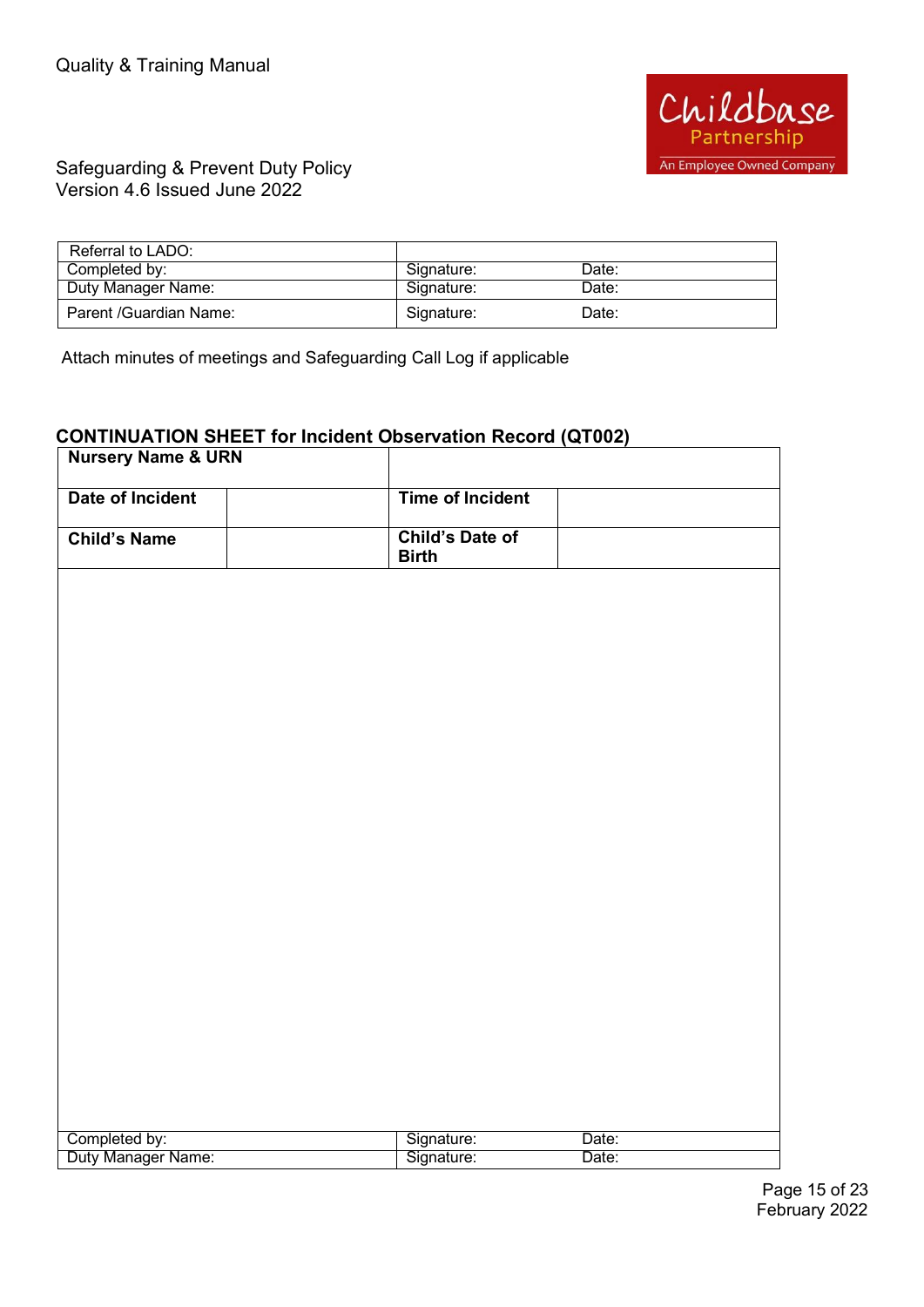

| Referral to LADO:       |            |       |
|-------------------------|------------|-------|
| Completed by:           | Signature: | Date: |
| Duty Manager Name:      | Signature: | Date: |
| Parent / Guardian Name: | Signature: | Date: |

Attach minutes of meetings and Safeguarding Call Log if applicable

# **CONTINUATION SHEET for Incident Observation Record (QT002)**

| <b>Nursery Name &amp; URN</b> |                                        |       |
|-------------------------------|----------------------------------------|-------|
| Date of Incident              | <b>Time of Incident</b>                |       |
| <b>Child's Name</b>           | <b>Child's Date of</b><br><b>Birth</b> |       |
|                               |                                        |       |
|                               |                                        |       |
|                               |                                        |       |
|                               |                                        |       |
|                               |                                        |       |
|                               |                                        |       |
|                               |                                        |       |
|                               |                                        |       |
|                               |                                        |       |
|                               |                                        |       |
|                               |                                        |       |
|                               |                                        |       |
|                               |                                        |       |
| Completed by:                 | Signature:                             | Date: |
| Duty Manager Name:            | Signature:                             | Date: |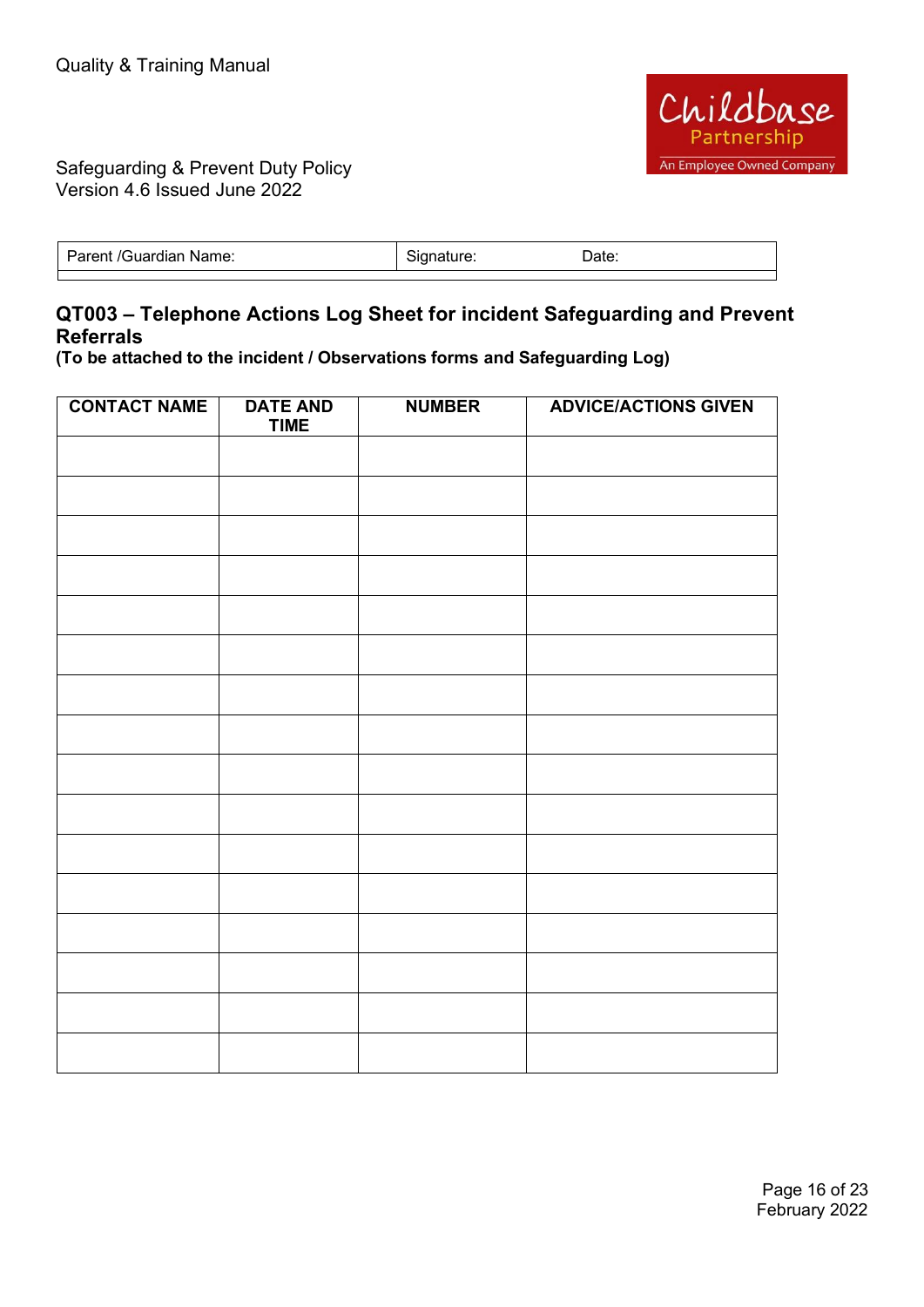

| $1 - \frac{1}{2}$<br>----<br>.<br>.<br>Name<br>. | $\sim$<br>. | alc.<br>----- |
|--------------------------------------------------|-------------|---------------|
|                                                  |             |               |

# **QT003 – Telephone Actions Log Sheet for incident Safeguarding and Prevent Referrals**

**(To be attached to the incident / Observations forms and Safeguarding Log)**

| <b>CONTACT NAME</b> | <b>DATE AND</b><br><b>TIME</b> | <b>NUMBER</b> | <b>ADVICE/ACTIONS GIVEN</b> |
|---------------------|--------------------------------|---------------|-----------------------------|
|                     |                                |               |                             |
|                     |                                |               |                             |
|                     |                                |               |                             |
|                     |                                |               |                             |
|                     |                                |               |                             |
|                     |                                |               |                             |
|                     |                                |               |                             |
|                     |                                |               |                             |
|                     |                                |               |                             |
|                     |                                |               |                             |
|                     |                                |               |                             |
|                     |                                |               |                             |
|                     |                                |               |                             |
|                     |                                |               |                             |
|                     |                                |               |                             |
|                     |                                |               |                             |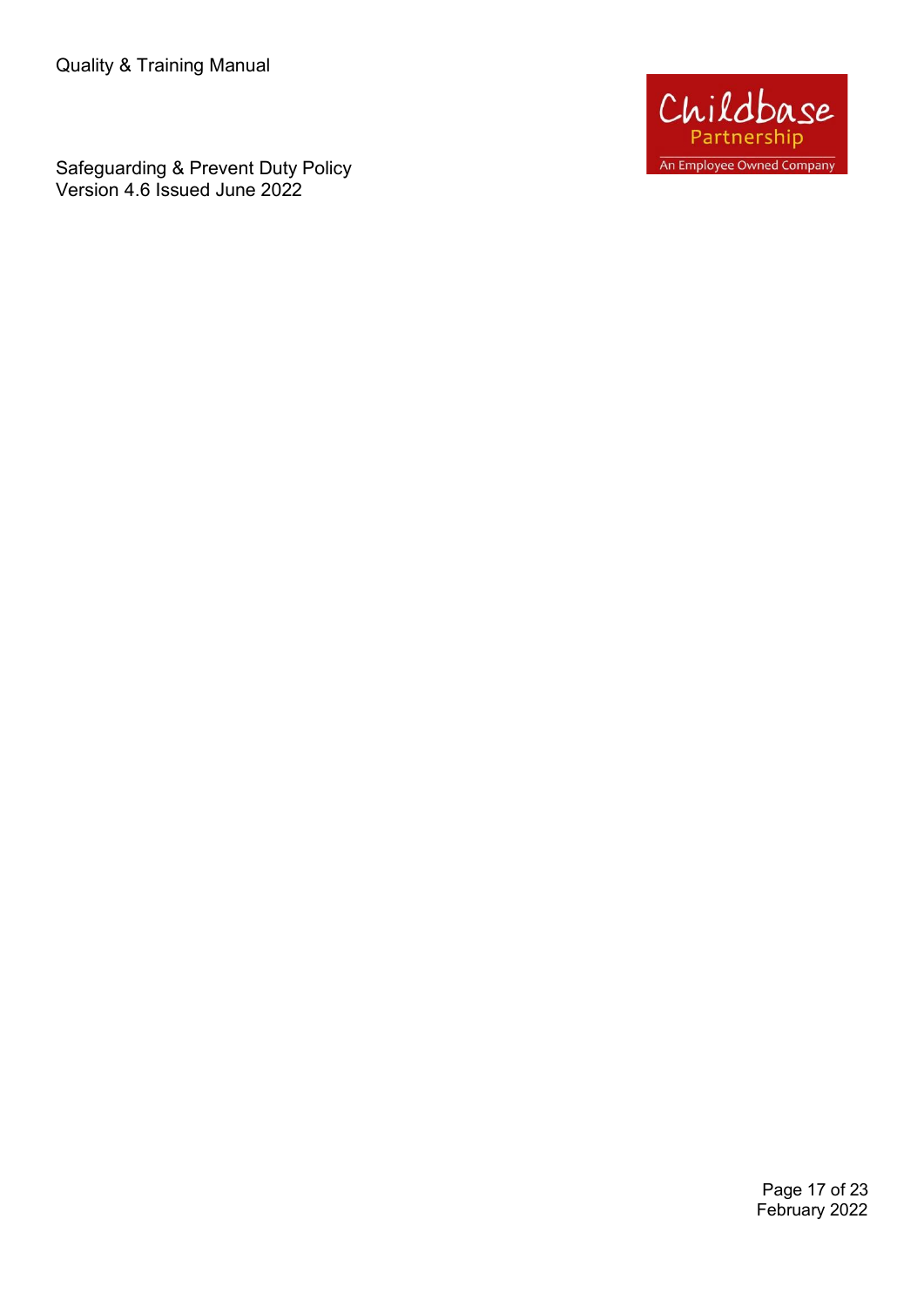Quality & Training Manual

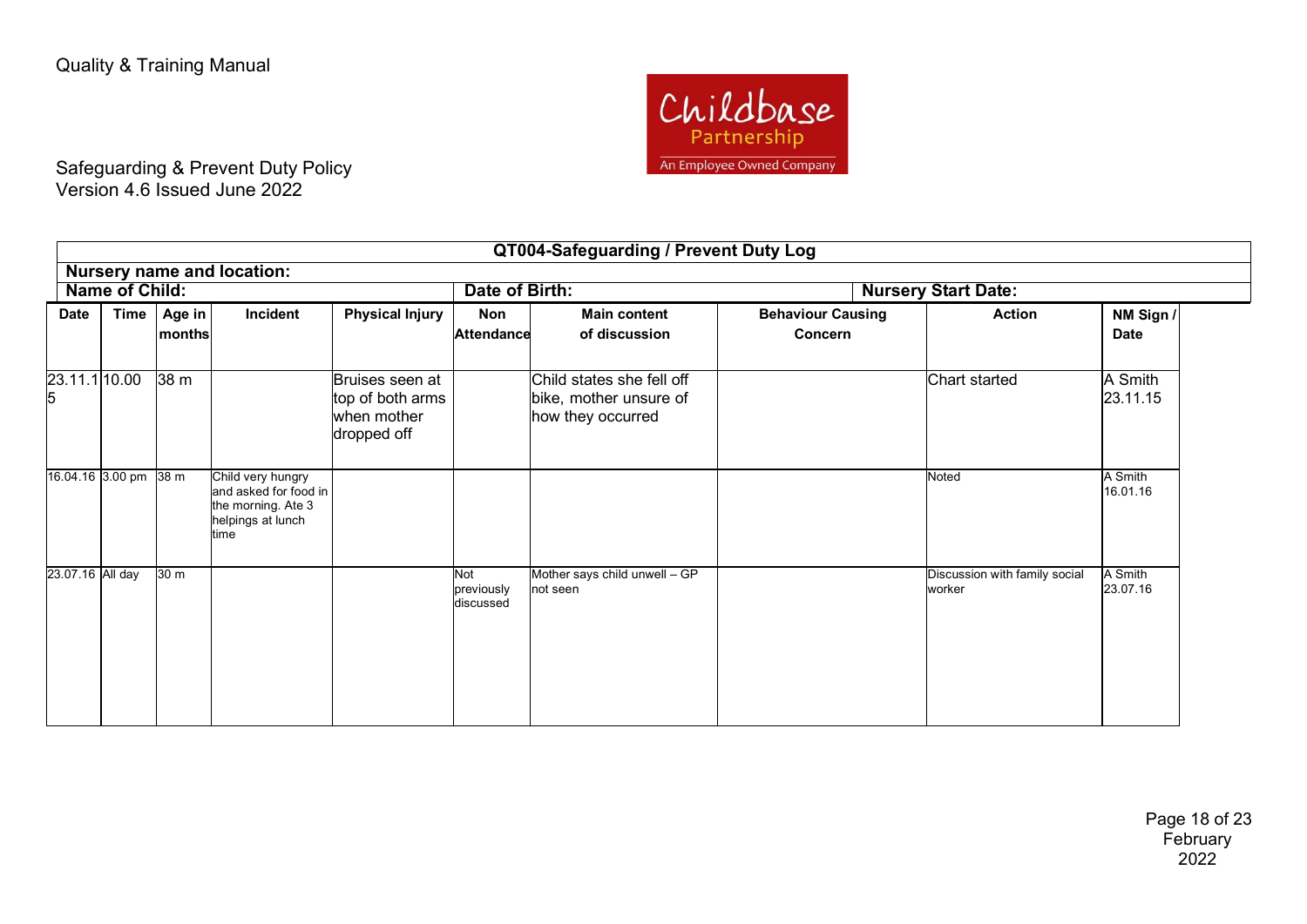

|                  | Name of Child:   |                  | <b>Nursery name and location:</b>                                                             |                                                                   | Date of Birth:                        |                                                                          |                                            | <b>Nursery Start Date:</b>              |                          |  |
|------------------|------------------|------------------|-----------------------------------------------------------------------------------------------|-------------------------------------------------------------------|---------------------------------------|--------------------------------------------------------------------------|--------------------------------------------|-----------------------------------------|--------------------------|--|
| <b>Date</b>      | <b>Time</b>      | Age in<br>months | Incident                                                                                      | <b>Physical Injury</b>                                            | <b>Non</b><br><b>Attendance</b>       | <b>Main content</b><br>of discussion                                     | <b>Behaviour Causing</b><br><b>Concern</b> | <b>Action</b>                           | NM Sign /<br><b>Date</b> |  |
| 5                | 23.11.1 10.00    | 38 <sub>m</sub>  |                                                                                               | Bruises seen at<br>top of both arms<br>when mother<br>dropped off |                                       | Child states she fell off<br>bike, mother unsure of<br>how they occurred |                                            | Chart started                           | A Smith<br>23.11.15      |  |
|                  | 16.04.16 3.00 pm | 38 <sub>m</sub>  | Child very hungry<br>and asked for food in<br>the morning. Ate 3<br>helpings at lunch<br>time |                                                                   |                                       |                                                                          |                                            | Noted                                   | A Smith<br>16.01.16      |  |
| 23.07.16 All day |                  | 30 <sub>m</sub>  |                                                                                               |                                                                   | <b>Not</b><br>previously<br>discussed | Mother says child unwell - GP<br>not seen                                |                                            | Discussion with family social<br>worker | A Smith<br>23.07.16      |  |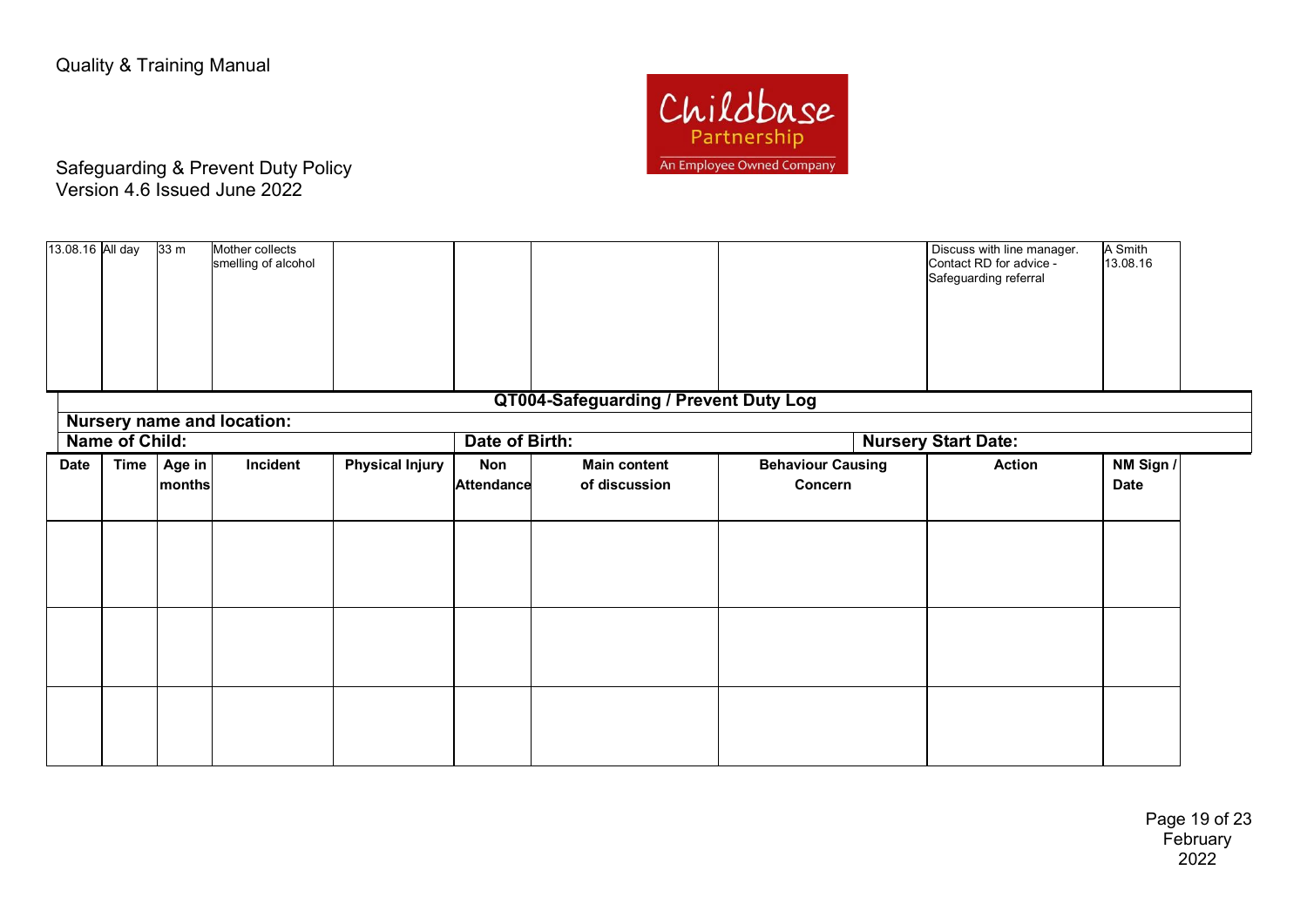

| 13.08.16 All day |                | 33 <sub>m</sub>  | Mother collects<br>smelling of alcohol |                        |                          | QT004-Safeguarding / Prevent Duty Log |                                     | Discuss with line manager.<br>Contact RD for advice -<br>Safeguarding referral | A Smith<br>13.08.16      |  |
|------------------|----------------|------------------|----------------------------------------|------------------------|--------------------------|---------------------------------------|-------------------------------------|--------------------------------------------------------------------------------|--------------------------|--|
|                  |                |                  | <b>Nursery name and location:</b>      |                        |                          |                                       |                                     |                                                                                |                          |  |
|                  | Name of Child: |                  |                                        |                        | Date of Birth:           |                                       |                                     | <b>Nursery Start Date:</b>                                                     |                          |  |
| <b>Date</b>      | <b>Time</b>    | Age in<br>months | Incident                               | <b>Physical Injury</b> | Non<br><b>Attendance</b> | <b>Main content</b><br>of discussion  | <b>Behaviour Causing</b><br>Concern | <b>Action</b>                                                                  | NM Sign /<br><b>Date</b> |  |
|                  |                |                  |                                        |                        |                          |                                       |                                     |                                                                                |                          |  |
|                  |                |                  |                                        |                        |                          |                                       |                                     |                                                                                |                          |  |
|                  |                |                  |                                        |                        |                          |                                       |                                     |                                                                                |                          |  |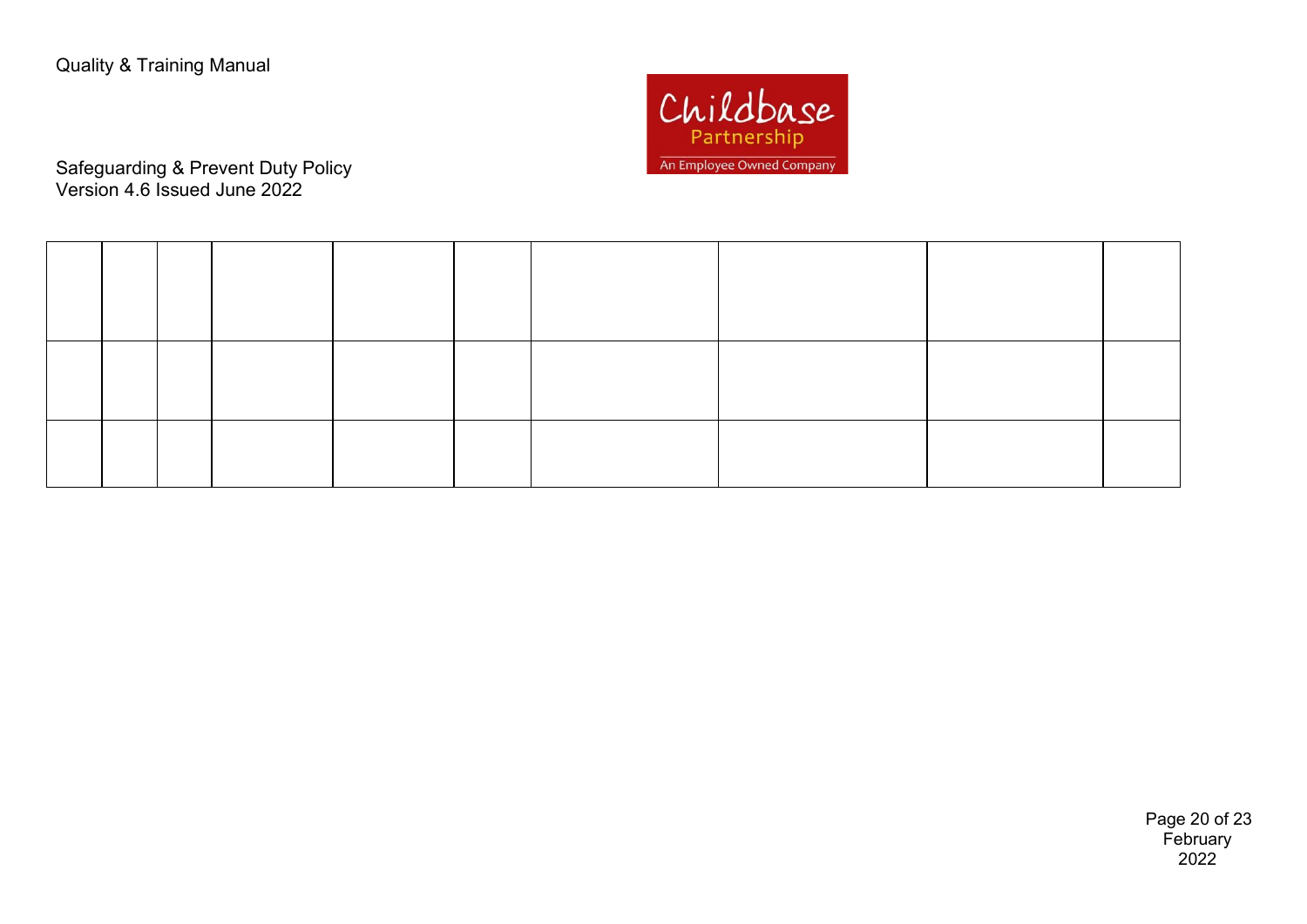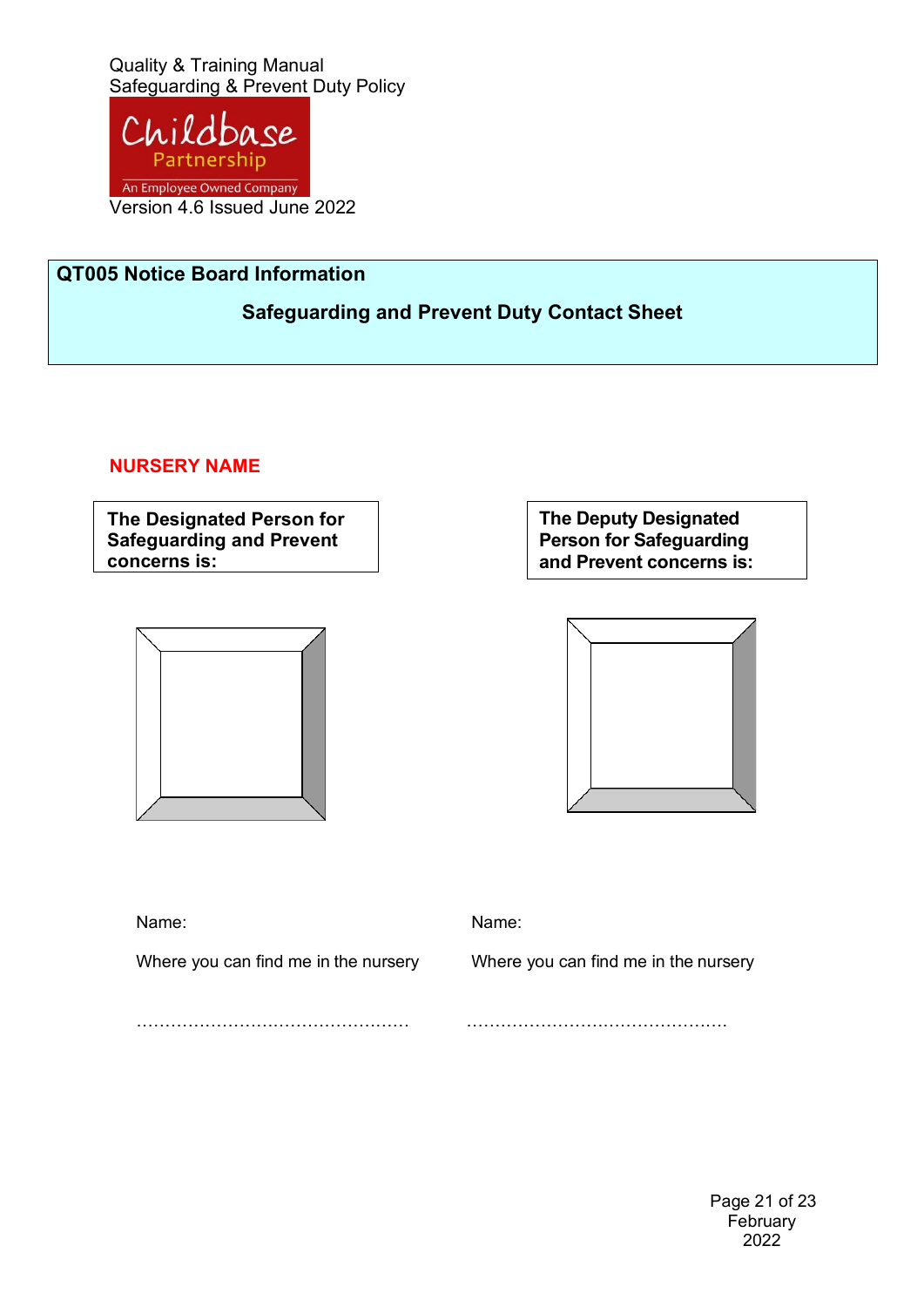# Quality & Training Manual Safeguarding & Prevent Duty Policy



# **QT005 Notice Board Information**

# **Safeguarding and Prevent Duty Contact Sheet**

# **NURSERY NAME**

**The Designated Person for Safeguarding and Prevent concerns is:**



**The Deputy Designated Person for Safeguarding and Prevent concerns is:**



Name: Name:

………………………………………… ……………………………………….

Where you can find me in the nursery Where you can find me in the nursery

Page 21 of 23 **February** 2022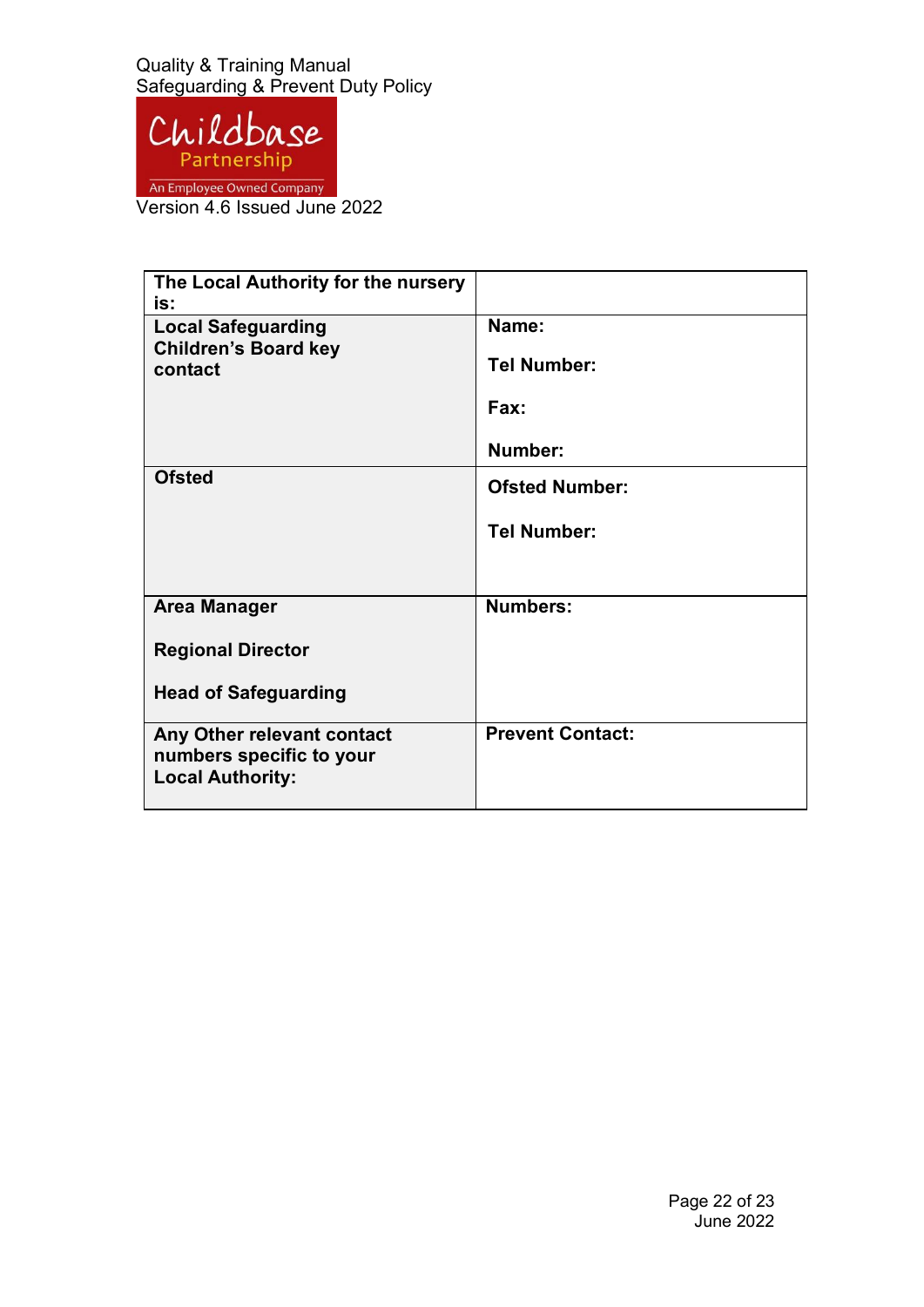# Quality & Training Manual Safeguarding & Prevent Duty Policy



| The Local Authority for the nursery                                               |                         |
|-----------------------------------------------------------------------------------|-------------------------|
| is:                                                                               |                         |
| <b>Local Safeguarding</b>                                                         | Name:                   |
| <b>Children's Board key</b><br>contact                                            | <b>Tel Number:</b>      |
|                                                                                   | Fax:                    |
|                                                                                   | Number:                 |
| <b>Ofsted</b>                                                                     | <b>Ofsted Number:</b>   |
|                                                                                   | <b>Tel Number:</b>      |
| <b>Area Manager</b>                                                               | <b>Numbers:</b>         |
| <b>Regional Director</b>                                                          |                         |
| <b>Head of Safeguarding</b>                                                       |                         |
| Any Other relevant contact<br>numbers specific to your<br><b>Local Authority:</b> | <b>Prevent Contact:</b> |